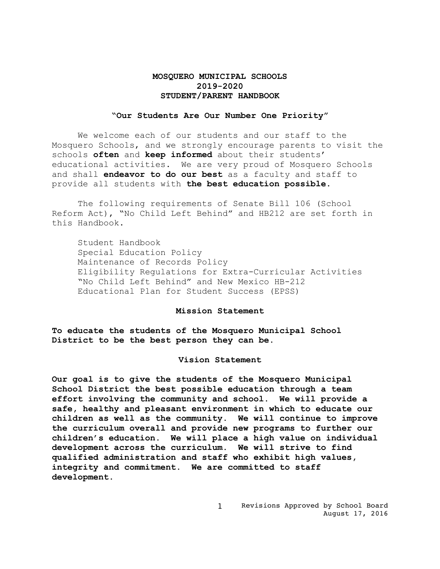### **MOSQUERO MUNICIPAL SCHOOLS 2019-2020 STUDENT/PARENT HANDBOOK**

#### **"Our Students Are Our Number One Priority"**

We welcome each of our students and our staff to the Mosquero Schools, and we strongly encourage parents to visit the schools **often** and **keep informed** about their students' educational activities. We are very proud of Mosquero Schools and shall **endeavor to do our best** as a faculty and staff to provide all students with **the best education possible**.

The following requirements of Senate Bill 106 (School Reform Act), "No Child Left Behind" and HB212 are set forth in this Handbook.

Student Handbook Special Education Policy Maintenance of Records Policy Eligibility Regulations for Extra-Curricular Activities "No Child Left Behind" and New Mexico HB-212 Educational Plan for Student Success (EPSS)

#### **Mission Statement**

**To educate the students of the Mosquero Municipal School District to be the best person they can be.**

#### **Vision Statement**

**Our goal is to give the students of the Mosquero Municipal School District the best possible education through a team effort involving the community and school. We will provide a safe, healthy and pleasant environment in which to educate our children as well as the community. We will continue to improve the curriculum overall and provide new programs to further our children's education. We will place a high value on individual development across the curriculum. We will strive to find qualified administration and staff who exhibit high values, integrity and commitment. We are committed to staff development.**

> Revisions Approved by School Board August 17, 2016 1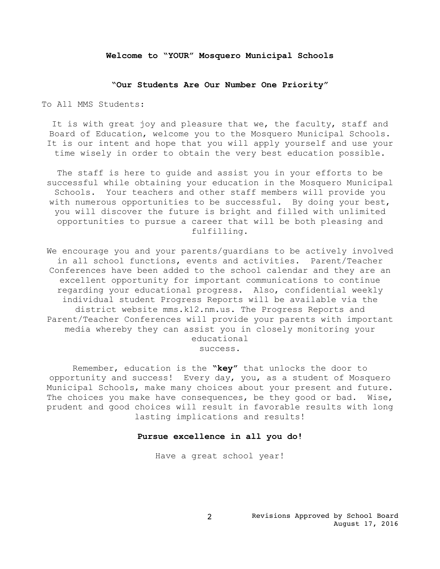### **Welcome to "YOUR" Mosquero Municipal Schools**

#### **"Our Students Are Our Number One Priority"**

To All MMS Students:

It is with great joy and pleasure that we, the faculty, staff and Board of Education, welcome you to the Mosquero Municipal Schools. It is our intent and hope that you will apply yourself and use your time wisely in order to obtain the very best education possible.

The staff is here to guide and assist you in your efforts to be successful while obtaining your education in the Mosquero Municipal Schools. Your teachers and other staff members will provide you with numerous opportunities to be successful. By doing your best, you will discover the future is bright and filled with unlimited opportunities to pursue a career that will be both pleasing and fulfilling.

We encourage you and your parents/guardians to be actively involved in all school functions, events and activities. Parent/Teacher Conferences have been added to the school calendar and they are an excellent opportunity for important communications to continue regarding your educational progress. Also, confidential weekly individual student Progress Reports will be available via the district website mms.k12.nm.us. The Progress Reports and Parent/Teacher Conferences will provide your parents with important media whereby they can assist you in closely monitoring your educational

success.

Remember, education is the **"key"** that unlocks the door to opportunity and success! Every day, you, as a student of Mosquero Municipal Schools, make many choices about your present and future. The choices you make have consequences, be they good or bad. Wise, prudent and good choices will result in favorable results with long lasting implications and results!

### **Pursue excellence in all you do!**

Have a great school year!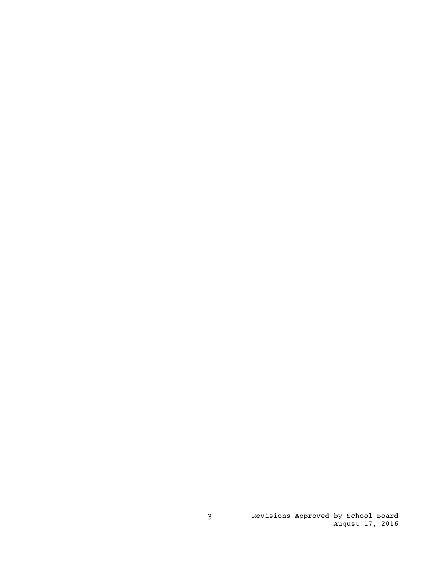Revisions Approved by School Board August 17, 2016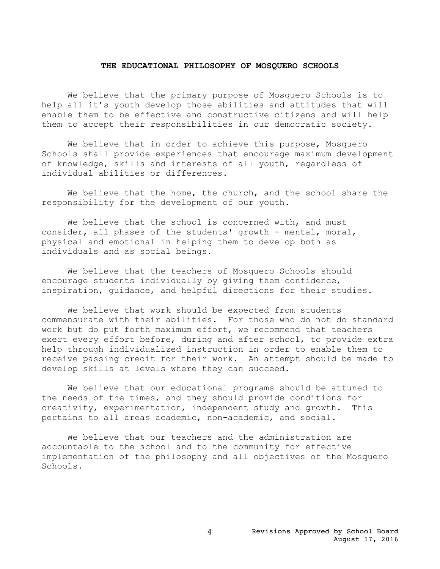#### **THE EDUCATIONAL PHILOSOPHY OF MOSQUERO SCHOOLS**

We believe that the primary purpose of Mosquero Schools is to help all it's youth develop those abilities and attitudes that will enable them to be effective and constructive citizens and will help them to accept their responsibilities in our democratic society.

We believe that in order to achieve this purpose, Mosquero Schools shall provide experiences that encourage maximum development of knowledge, skills and interests of all youth, regardless of individual abilities or differences.

We believe that the home, the church, and the school share the responsibility for the development of our youth.

We believe that the school is concerned with, and must consider, all phases of the students' growth - mental, moral, physical and emotional in helping them to develop both as individuals and as social beings.

We believe that the teachers of Mosquero Schools should encourage students individually by giving them confidence, inspiration, guidance, and helpful directions for their studies.

We believe that work should be expected from students commensurate with their abilities. For those who do not do standard work but do put forth maximum effort, we recommend that teachers exert every effort before, during and after school, to provide extra help through individualized instruction in order to enable them to receive passing credit for their work. An attempt should be made to develop skills at levels where they can succeed.

We believe that our educational programs should be attuned to the needs of the times, and they should provide conditions for creativity, experimentation, independent study and growth. This pertains to all areas academic, non-academic, and social.

We believe that our teachers and the administration are accountable to the school and to the community for effective implementation of the philosophy and all objectives of the Mosquero Schools.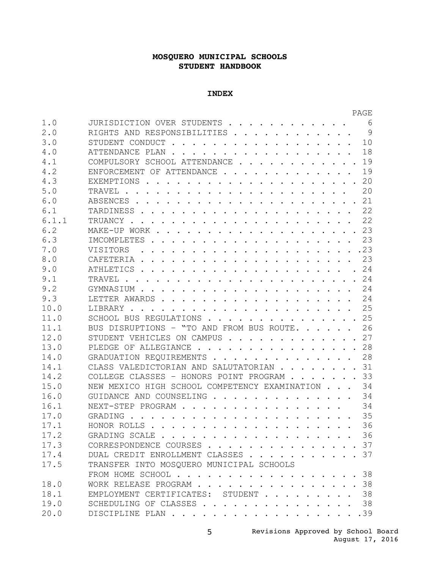# **INDEX**

|       |                                                                                                                                                                                                                                              | PAGE |
|-------|----------------------------------------------------------------------------------------------------------------------------------------------------------------------------------------------------------------------------------------------|------|
| 1.0   | JURISDICTION OVER STUDENTS.                                                                                                                                                                                                                  | 6    |
| 2.0   | RIGHTS AND RESPONSIBILITIES                                                                                                                                                                                                                  | 9    |
| 3.0   | STUDENT CONDUCT<br>.                                                                                                                                                                                                                         | 10   |
| 4.0   | .<br>ATTENDANCE PLAN.                                                                                                                                                                                                                        | 18   |
| 4.1   | COMPULSORY SCHOOL ATTENDANCE                                                                                                                                                                                                                 | 19   |
| 4.2   | ENFORCEMENT OF ATTENDANCE                                                                                                                                                                                                                    | 19   |
| 4.3   | EXEMPTIONS.                                                                                                                                                                                                                                  | 20   |
| 5.0   | TRAVEL .<br>.                                                                                                                                                                                                                                | 20   |
| 6.0   | ABSENCES                                                                                                                                                                                                                                     | 21   |
| 6.1   | <b>TARDINESS</b>                                                                                                                                                                                                                             | 22   |
| 6.1.1 | $\frac{1}{2}$ . The contract of the contract of the contract of the contract of the contract of the contract of the contract of the contract of the contract of the contract of the contract of the contract of the contract of t<br>TRUANCY | 22   |
| 6.2   | MAKE-UP WORK.<br>.                                                                                                                                                                                                                           | 23   |
| 6.3   | IMCOMPLETES                                                                                                                                                                                                                                  | 23   |
| 7.0   | VISITORS                                                                                                                                                                                                                                     | .23  |
| 8.0   | CAFETERIA<br>.                                                                                                                                                                                                                               | 23   |
| 9.0   | <b>ATHLETICS</b>                                                                                                                                                                                                                             | 24   |
| 9.1   | TRAVEL                                                                                                                                                                                                                                       | 24   |
| 9.2   |                                                                                                                                                                                                                                              | 24   |
| 9.3   | LETTER AWARDS<br>$\mathbf{r}$ and $\mathbf{r}$ and $\mathbf{r}$                                                                                                                                                                              | 24   |
| 10.0  | LIBRARY                                                                                                                                                                                                                                      | 25   |
| 11.0  | SCHOOL BUS REGULATIONS .<br>$\frac{1}{2}$                                                                                                                                                                                                    | 25   |
| 11.1  | BUS DISRUPTIONS - "TO AND FROM BUS ROUTE.                                                                                                                                                                                                    | 26   |
| 12.0  | STUDENT VEHICLES ON CAMPUS                                                                                                                                                                                                                   | 27   |
| 13.0  | PLEDGE OF ALLEGIANCE<br>$\mathbf{r}$ . The state of the state of the state $\mathbf{r}$                                                                                                                                                      | 28   |
| 14.0  | .<br>GRADUATION REQUIREMENTS                                                                                                                                                                                                                 | 28   |
| 14.1  | CLASS VALEDICTORIAN AND SALUTATORIAN                                                                                                                                                                                                         | 31   |
| 14.2  | COLLEGE CLASSES - HONORS POINT PROGRAM.                                                                                                                                                                                                      | 33   |
| 15.0  | NEW MEXICO HIGH SCHOOL COMPETENCY EXAMINATION                                                                                                                                                                                                | 34   |
| 16.0  | GUIDANCE AND COUNSELING                                                                                                                                                                                                                      | 34   |
| 16.1  | NEXT-STEP PROGRAM                                                                                                                                                                                                                            | 34   |
| 17.0  | GRADING<br>.                                                                                                                                                                                                                                 | 35   |
| 17.1  | HONOR ROLLS<br>.                                                                                                                                                                                                                             | 36   |
| 17.2  | GRADING SCALE                                                                                                                                                                                                                                | 36   |
| 17.3  | CORRESPONDENCE COURSES 37                                                                                                                                                                                                                    |      |
| 17.4  | DUAL CREDIT ENROLLMENT CLASSES                                                                                                                                                                                                               | .37  |
| 17.5  | TRANSFER INTO MOSQUERO MUNICIPAL SCHOOLS                                                                                                                                                                                                     |      |
|       | FROM HOME SCHOOL                                                                                                                                                                                                                             | 38   |
| 18.0  | WORK RELEASE PROGRAM 38                                                                                                                                                                                                                      |      |
| 18.1  | EMPLOYMENT CERTIFICATES: STUDENT 38                                                                                                                                                                                                          |      |
| 19.0  | SCHEDULING OF CLASSES                                                                                                                                                                                                                        | 38   |
| 20.0  |                                                                                                                                                                                                                                              |      |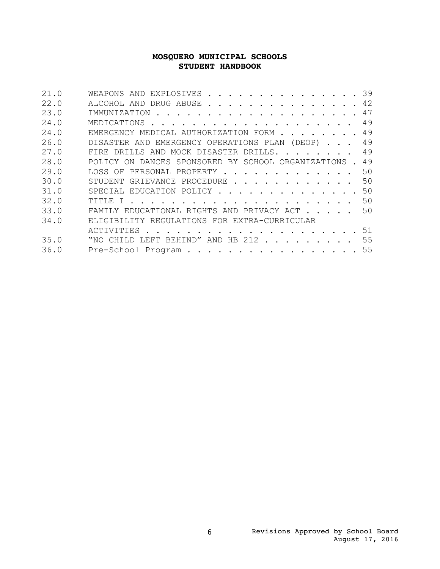| 21.0 | WEAPONS AND EXPLOSIVES 39                                                                                                                                    |    |
|------|--------------------------------------------------------------------------------------------------------------------------------------------------------------|----|
| 22.0 | 42<br>ALCOHOL AND DRUG ABUSE                                                                                                                                 |    |
| 23.0 | 47<br>IMMUNIZATION<br>$\mathcal{A}$ , and $\mathcal{A}$ , and $\mathcal{A}$ , and $\mathcal{A}$ , and $\mathcal{A}$                                          |    |
| 24.0 | MEDICATIONS                                                                                                                                                  | 49 |
| 24.0 | EMERGENCY MEDICAL AUTHORIZATION FORM                                                                                                                         | 49 |
| 26.0 | 49<br>DISASTER AND EMERGENCY OPERATIONS PLAN (DEOP)                                                                                                          |    |
| 27.0 | 49<br>FIRE DRILLS AND MOCK DISASTER DRILLS.<br>$\sim$ $\sim$ $\sim$ $\sim$ $\sim$ $\sim$                                                                     |    |
| 28.0 | 49<br>POLICY ON DANCES SPONSORED BY SCHOOL ORGANIZATIONS.                                                                                                    |    |
| 29.0 | LOSS OF PERSONAL PROPERTY                                                                                                                                    | 50 |
| 30.0 | 50<br>STUDENT GRIEVANCE PROCEDURE                                                                                                                            |    |
| 31.0 | 50<br>SPECIAL EDUCATION POLICY                                                                                                                               |    |
| 32.0 | TITLE I<br>$\mathbf{1}$ , and $\mathbf{1}$ , and $\mathbf{1}$ , and $\mathbf{1}$ , and $\mathbf{1}$ , and $\mathbf{1}$ , and $\mathbf{1}$ , and $\mathbf{1}$ | 50 |
| 33.0 | FAMILY EDUCATIONAL RIGHTS AND PRIVACY ACT                                                                                                                    | 50 |
| 34.0 | ELIGIBILITY REGULATIONS FOR EXTRA-CURRICULAR                                                                                                                 |    |
|      | 51<br>ACTIVITIES                                                                                                                                             |    |
| 35.0 | 55<br>"NO CHILD LEFT BEHIND" AND HB 212                                                                                                                      |    |
| 36.0 | 55<br>Pre-School Program                                                                                                                                     |    |
|      |                                                                                                                                                              |    |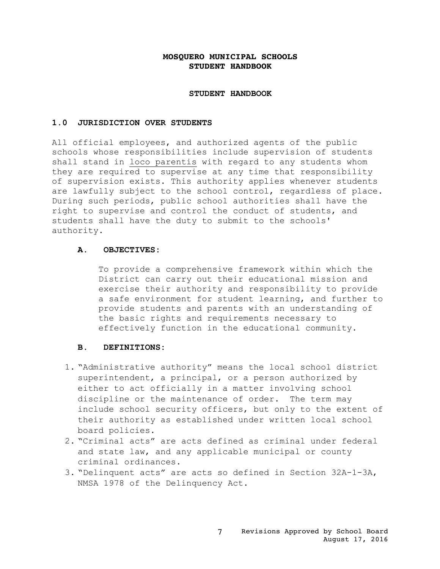#### **STUDENT HANDBOOK**

#### **1.0 JURISDICTION OVER STUDENTS**

All official employees, and authorized agents of the public schools whose responsibilities include supervision of students shall stand in loco parentis with regard to any students whom they are required to supervise at any time that responsibility of supervision exists. This authority applies whenever students are lawfully subject to the school control, regardless of place. During such periods, public school authorities shall have the right to supervise and control the conduct of students, and students shall have the duty to submit to the schools' authority.

#### **A. OBJECTIVES:**

To provide a comprehensive framework within which the District can carry out their educational mission and exercise their authority and responsibility to provide a safe environment for student learning, and further to provide students and parents with an understanding of the basic rights and requirements necessary to effectively function in the educational community.

### **B. DEFINITIONS:**

- 1. "Administrative authority" means the local school district superintendent, a principal, or a person authorized by either to act officially in a matter involving school discipline or the maintenance of order. The term may include school security officers, but only to the extent of their authority as established under written local school board policies.
- 2. "Criminal acts" are acts defined as criminal under federal and state law, and any applicable municipal or county criminal ordinances.
- 3. "Delinquent acts" are acts so defined in Section 32A-1-3A, NMSA 1978 of the Delinquency Act.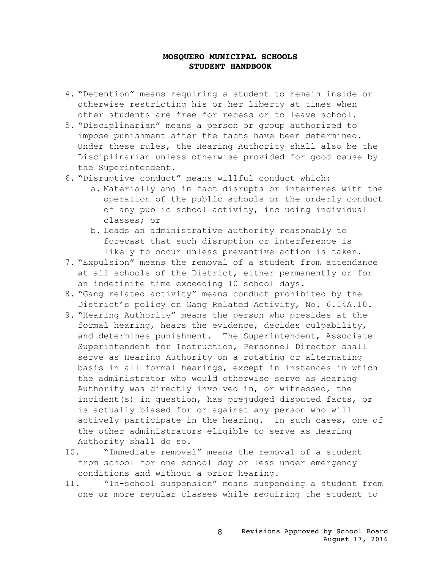- 4. "Detention" means requiring a student to remain inside or otherwise restricting his or her liberty at times when other students are free for recess or to leave school.
- 5. "Disciplinarian" means a person or group authorized to impose punishment after the facts have been determined. Under these rules, the Hearing Authority shall also be the Disciplinarian unless otherwise provided for good cause by the Superintendent.
- 6. "Disruptive conduct" means willful conduct which:
	- a. Materially and in fact disrupts or interferes with the operation of the public schools or the orderly conduct of any public school activity, including individual classes; or
	- b. Leads an administrative authority reasonably to forecast that such disruption or interference is likely to occur unless preventive action is taken.
- 7. "Expulsion" means the removal of a student from attendance at all schools of the District, either permanently or for an indefinite time exceeding 10 school days.
- 8. "Gang related activity" means conduct prohibited by the District's policy on Gang Related Activity, No. 6.14A.10.
- 9. "Hearing Authority" means the person who presides at the formal hearing, hears the evidence, decides culpability, and determines punishment. The Superintendent, Associate Superintendent for Instruction, Personnel Director shall serve as Hearing Authority on a rotating or alternating basis in all formal hearings, except in instances in which the administrator who would otherwise serve as Hearing Authority was directly involved in, or witnessed, the incident(s) in question, has prejudged disputed facts, or is actually biased for or against any person who will actively participate in the hearing. In such cases, one of the other administrators eligible to serve as Hearing Authority shall do so.
- 10. "Immediate removal" means the removal of a student from school for one school day or less under emergency conditions and without a prior hearing.
- 11. "In-school suspension" means suspending a student from one or more regular classes while requiring the student to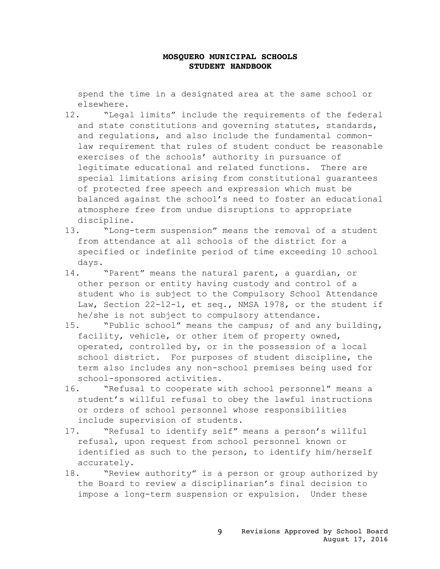spend the time in a designated area at the same school or elsewhere.

- 12. "Legal limits" include the requirements of the federal and state constitutions and governing statutes, standards, and regulations, and also include the fundamental commonlaw requirement that rules of student conduct be reasonable exercises of the schools' authority in pursuance of legitimate educational and related functions. There are special limitations arising from constitutional guarantees of protected free speech and expression which must be balanced against the school's need to foster an educational atmosphere free from undue disruptions to appropriate discipline.
- 13. "Long-term suspension" means the removal of a student from attendance at all schools of the district for a specified or indefinite period of time exceeding 10 school days.
- 14. "Parent" means the natural parent, a guardian, or other person or entity having custody and control of a student who is subject to the Compulsory School Attendance Law, Section 22-12-1, et seq., NMSA 1978, or the student if he/she is not subject to compulsory attendance.
- 15. "Public school" means the campus; of and any building, facility, vehicle, or other item of property owned, operated, controlled by, or in the possession of a local school district. For purposes of student discipline, the term also includes any non-school premises being used for school-sponsored activities.
- 16. "Refusal to cooperate with school personnel" means a student's willful refusal to obey the lawful instructions or orders of school personnel whose responsibilities include supervision of students.
- 17. "Refusal to identify self" means a person's willful refusal, upon request from school personnel known or identified as such to the person, to identify him/herself accurately.
- 18. "Review authority" is a person or group authorized by the Board to review a disciplinarian's final decision to impose a long-term suspension or expulsion. Under these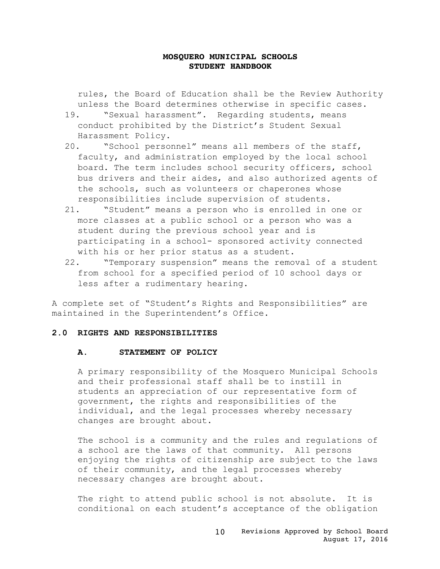rules, the Board of Education shall be the Review Authority unless the Board determines otherwise in specific cases.

- 19. "Sexual harassment". Regarding students, means conduct prohibited by the District's Student Sexual Harassment Policy.
- 20. "School personnel" means all members of the staff, faculty, and administration employed by the local school board. The term includes school security officers, school bus drivers and their aides, and also authorized agents of the schools, such as volunteers or chaperones whose responsibilities include supervision of students.
- 21. "Student" means a person who is enrolled in one or more classes at a public school or a person who was a student during the previous school year and is participating in a school- sponsored activity connected with his or her prior status as a student.
- 22. "Temporary suspension" means the removal of a student from school for a specified period of 10 school days or less after a rudimentary hearing.

A complete set of "Student's Rights and Responsibilities" are maintained in the Superintendent's Office.

#### **2.0 RIGHTS AND RESPONSIBILITIES**

#### **A. STATEMENT OF POLICY**

A primary responsibility of the Mosquero Municipal Schools and their professional staff shall be to instill in students an appreciation of our representative form of government, the rights and responsibilities of the individual, and the legal processes whereby necessary changes are brought about.

The school is a community and the rules and regulations of a school are the laws of that community. All persons enjoying the rights of citizenship are subject to the laws of their community, and the legal processes whereby necessary changes are brought about.

The right to attend public school is not absolute. It is conditional on each student's acceptance of the obligation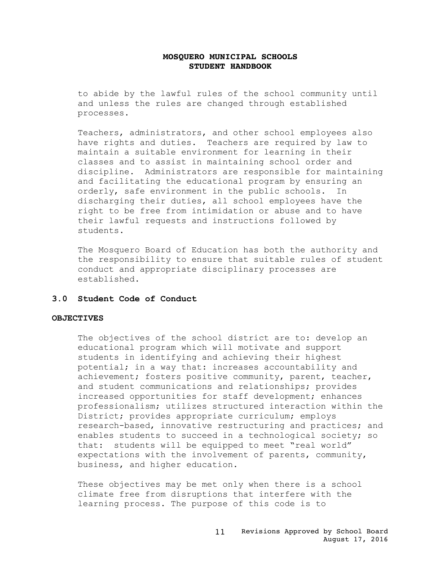to abide by the lawful rules of the school community until and unless the rules are changed through established processes.

Teachers, administrators, and other school employees also have rights and duties. Teachers are required by law to maintain a suitable environment for learning in their classes and to assist in maintaining school order and discipline. Administrators are responsible for maintaining and facilitating the educational program by ensuring an orderly, safe environment in the public schools. In discharging their duties, all school employees have the right to be free from intimidation or abuse and to have their lawful requests and instructions followed by students.

The Mosquero Board of Education has both the authority and the responsibility to ensure that suitable rules of student conduct and appropriate disciplinary processes are established.

#### **3.0 Student Code of Conduct**

#### **OBJECTIVES**

The objectives of the school district are to: develop an educational program which will motivate and support students in identifying and achieving their highest potential; in a way that: increases accountability and achievement; fosters positive community, parent, teacher, and student communications and relationships; provides increased opportunities for staff development; enhances professionalism; utilizes structured interaction within the District; provides appropriate curriculum; employs research-based, innovative restructuring and practices; and enables students to succeed in a technological society; so that: students will be equipped to meet "real world" expectations with the involvement of parents, community, business, and higher education.

These objectives may be met only when there is a school climate free from disruptions that interfere with the learning process. The purpose of this code is to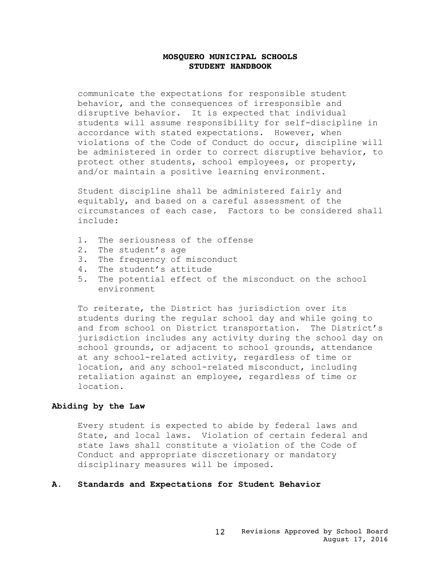communicate the expectations for responsible student behavior, and the consequences of irresponsible and disruptive behavior. It is expected that individual students will assume responsibility for self-discipline in accordance with stated expectations. However, when violations of the Code of Conduct do occur, discipline will be administered in order to correct disruptive behavior, to protect other students, school employees, or property, and/or maintain a positive learning environment.

Student discipline shall be administered fairly and equitably, and based on a careful assessment of the circumstances of each case. Factors to be considered shall include:

- 1. The seriousness of the offense
- 2. The student's age
- 3. The frequency of misconduct
- 4. The student's attitude
- 5. The potential effect of the misconduct on the school environment

To reiterate, the District has jurisdiction over its students during the regular school day and while going to and from school on District transportation. The District's jurisdiction includes any activity during the school day on school grounds, or adjacent to school grounds, attendance at any school-related activity, regardless of time or location, and any school-related misconduct, including retaliation against an employee, regardless of time or location.

#### **Abiding by the Law**

Every student is expected to abide by federal laws and State, and local laws. Violation of certain federal and state laws shall constitute a violation of the Code of Conduct and appropriate discretionary or mandatory disciplinary measures will be imposed.

### **A. Standards and Expectations for Student Behavior**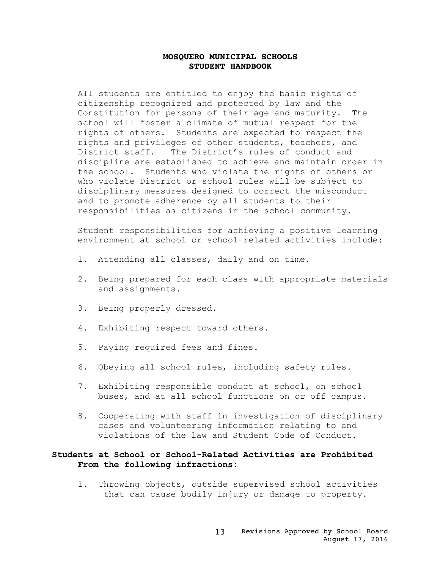All students are entitled to enjoy the basic rights of citizenship recognized and protected by law and the Constitution for persons of their age and maturity. The school will foster a climate of mutual respect for the rights of others. Students are expected to respect the rights and privileges of other students, teachers, and District staff. The District's rules of conduct and discipline are established to achieve and maintain order in the school. Students who violate the rights of others or who violate District or school rules will be subject to disciplinary measures designed to correct the misconduct and to promote adherence by all students to their responsibilities as citizens in the school community.

Student responsibilities for achieving a positive learning environment at school or school-related activities include:

- 1. Attending all classes, daily and on time.
- 2. Being prepared for each class with appropriate materials and assignments.
- 3. Being properly dressed.
- 4. Exhibiting respect toward others.
- 5. Paying required fees and fines.
- 6. Obeying all school rules, including safety rules.
- 7. Exhibiting responsible conduct at school, on school buses, and at all school functions on or off campus.
- 8. Cooperating with staff in investigation of disciplinary cases and volunteering information relating to and violations of the law and Student Code of Conduct.

# **Students at School or School-Related Activities are Prohibited From the following infractions:**

1. Throwing objects, outside supervised school activities that can cause bodily injury or damage to property.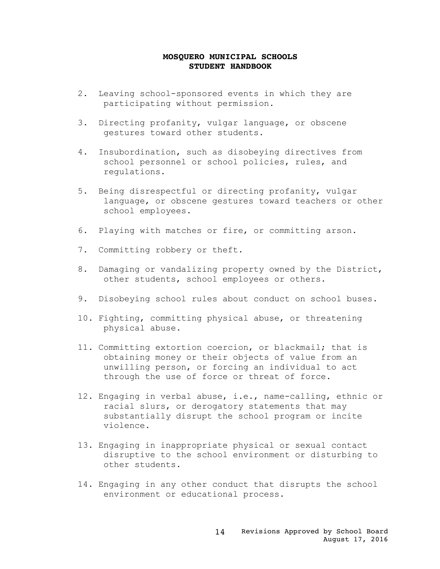- 2. Leaving school-sponsored events in which they are participating without permission.
- 3. Directing profanity, vulgar language, or obscene gestures toward other students.
- 4. Insubordination, such as disobeying directives from school personnel or school policies, rules, and regulations.
- 5. Being disrespectful or directing profanity, vulgar language, or obscene gestures toward teachers or other school employees.
- 6. Playing with matches or fire, or committing arson.
- 7. Committing robbery or theft.
- 8. Damaging or vandalizing property owned by the District, other students, school employees or others.
- 9. Disobeying school rules about conduct on school buses.
- 10. Fighting, committing physical abuse, or threatening physical abuse.
- 11. Committing extortion coercion, or blackmail; that is obtaining money or their objects of value from an unwilling person, or forcing an individual to act through the use of force or threat of force.
- 12. Engaging in verbal abuse, i.e., name-calling, ethnic or racial slurs, or derogatory statements that may substantially disrupt the school program or incite violence.
- 13. Engaging in inappropriate physical or sexual contact disruptive to the school environment or disturbing to other students.
- 14. Engaging in any other conduct that disrupts the school environment or educational process.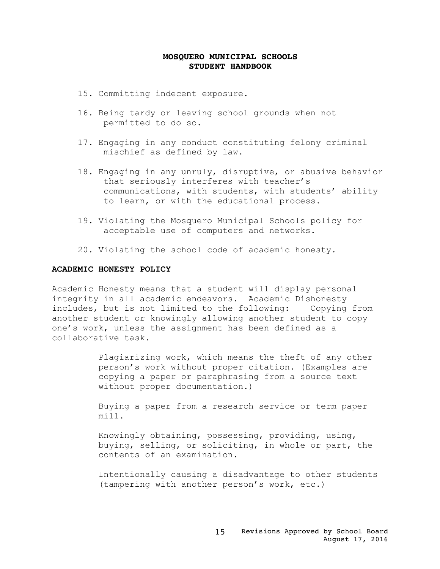- 15. Committing indecent exposure.
- 16. Being tardy or leaving school grounds when not permitted to do so.
- 17. Engaging in any conduct constituting felony criminal mischief as defined by law.
- 18. Engaging in any unruly, disruptive, or abusive behavior that seriously interferes with teacher's communications, with students, with students' ability to learn, or with the educational process.
- 19. Violating the Mosquero Municipal Schools policy for acceptable use of computers and networks.
- 20. Violating the school code of academic honesty.

#### **ACADEMIC HONESTY POLICY**

Academic Honesty means that a student will display personal integrity in all academic endeavors. Academic Dishonesty includes, but is not limited to the following: Copying from another student or knowingly allowing another student to copy one's work, unless the assignment has been defined as a collaborative task.

> Plagiarizing work, which means the theft of any other person's work without proper citation. (Examples are copying a paper or paraphrasing from a source text without proper documentation.)

Buying a paper from a research service or term paper mill.

Knowingly obtaining, possessing, providing, using, buying, selling, or soliciting, in whole or part, the contents of an examination.

Intentionally causing a disadvantage to other students (tampering with another person's work, etc.)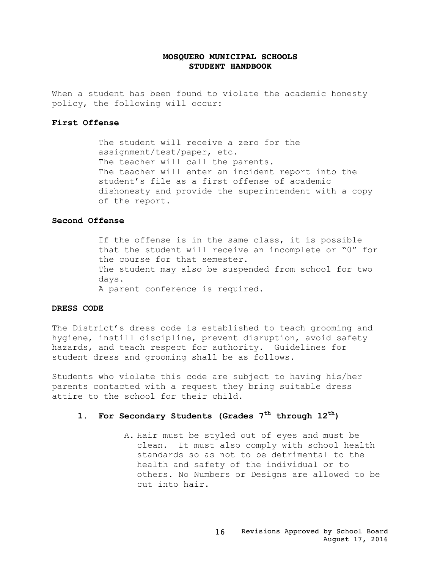When a student has been found to violate the academic honesty policy, the following will occur:

#### **First Offense**

The student will receive a zero for the assignment/test/paper, etc. The teacher will call the parents. The teacher will enter an incident report into the student's file as a first offense of academic dishonesty and provide the superintendent with a copy of the report.

#### **Second Offense**

If the offense is in the same class, it is possible that the student will receive an incomplete or "0" for the course for that semester. The student may also be suspended from school for two days. A parent conference is required.

#### **DRESS CODE**

The District's dress code is established to teach grooming and hygiene, instill discipline, prevent disruption, avoid safety hazards, and teach respect for authority. Guidelines for student dress and grooming shall be as follows.

Students who violate this code are subject to having his/her parents contacted with a request they bring suitable dress attire to the school for their child.

# **1. For Secondary Students (Grades 7th through 12th)**

A. Hair must be styled out of eyes and must be clean. It must also comply with school health standards so as not to be detrimental to the health and safety of the individual or to others. No Numbers or Designs are allowed to be cut into hair.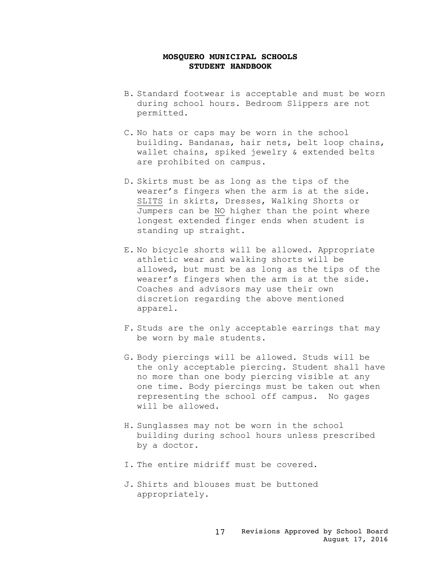- B. Standard footwear is acceptable and must be worn during school hours. Bedroom Slippers are not permitted.
- C. No hats or caps may be worn in the school building. Bandanas, hair nets, belt loop chains, wallet chains, spiked jewelry & extended belts are prohibited on campus.
- D. Skirts must be as long as the tips of the wearer's fingers when the arm is at the side. SLITS in skirts, Dresses, Walking Shorts or Jumpers can be NO higher than the point where longest extended finger ends when student is standing up straight.
- E. No bicycle shorts will be allowed. Appropriate athletic wear and walking shorts will be allowed, but must be as long as the tips of the wearer's fingers when the arm is at the side. Coaches and advisors may use their own discretion regarding the above mentioned apparel.
- F. Studs are the only acceptable earrings that may be worn by male students.
- G. Body piercings will be allowed. Studs will be the only acceptable piercing. Student shall have no more than one body piercing visible at any one time. Body piercings must be taken out when representing the school off campus. No gages will be allowed.
- H. Sunglasses may not be worn in the school building during school hours unless prescribed by a doctor.
- I. The entire midriff must be covered.
- J. Shirts and blouses must be buttoned appropriately.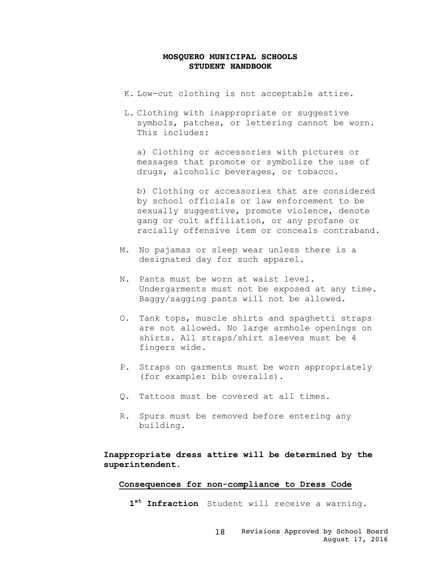- K. Low-cut clothing is not acceptable attire.
- L. Clothing with inappropriate or suggestive symbols, patches, or lettering cannot be worn. This includes:

a) Clothing or accessories with pictures or messages that promote or symbolize the use of drugs, alcoholic beverages, or tobacco.

b) Clothing or accessories that are considered by school officials or law enforcement to be sexually suggestive, promote violence, denote gang or cult affiliation, or any profane or racially offensive item or conceals contraband.

- M. No pajamas or sleep wear unless there is a designated day for such apparel.
- N. Pants must be worn at waist level. Undergarments must not be exposed at any time. Baggy/sagging pants will not be allowed.
- O. Tank tops, muscle shirts and spaghetti straps are not allowed. No large armhole openings on shirts. All straps/shirt sleeves must be 4 fingers wide.
- P. Straps on garments must be worn appropriately (for example: bib overalls).
- Q. Tattoos must be covered at all times.
- R. Spurs must be removed before entering any building.

# **Inappropriate dress attire will be determined by the superintendent.**

#### **Consequences for non-compliance to Dress Code**

**1st Infraction** Student will receive a warning.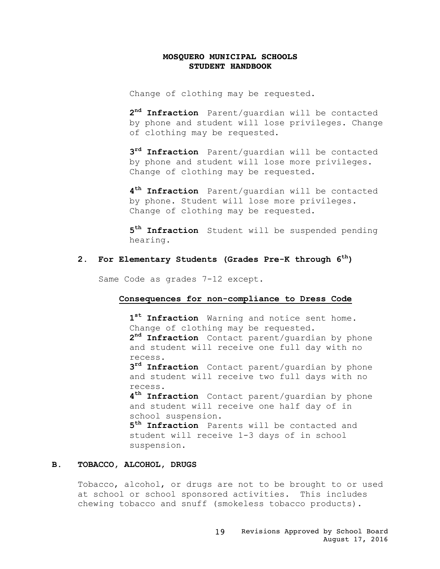Change of clothing may be requested.

**2nd Infraction** Parent/guardian will be contacted by phone and student will lose privileges. Change of clothing may be requested.

**3rd Infraction** Parent/guardian will be contacted by phone and student will lose more privileges. Change of clothing may be requested.

**4th Infraction** Parent/guardian will be contacted by phone. Student will lose more privileges. Change of clothing may be requested.

**5th Infraction** Student will be suspended pending hearing.

# **2. For Elementary Students (Grades Pre-K through 6th)**

Same Code as grades 7-12 except.

#### **Consequences for non-compliance to Dress Code**

1<sup>st</sup> Infraction Warning and notice sent home. Change of clothing may be requested.

**2nd Infraction** Contact parent/guardian by phone and student will receive one full day with no recess.

**3rd Infraction** Contact parent/guardian by phone and student will receive two full days with no recess.

**4th Infraction** Contact parent/guardian by phone and student will receive one half day of in school suspension.

**5th Infraction** Parents will be contacted and student will receive 1-3 days of in school suspension.

#### **B. TOBACCO, ALCOHOL, DRUGS**

Tobacco, alcohol, or drugs are not to be brought to or used at school or school sponsored activities. This includes chewing tobacco and snuff (smokeless tobacco products).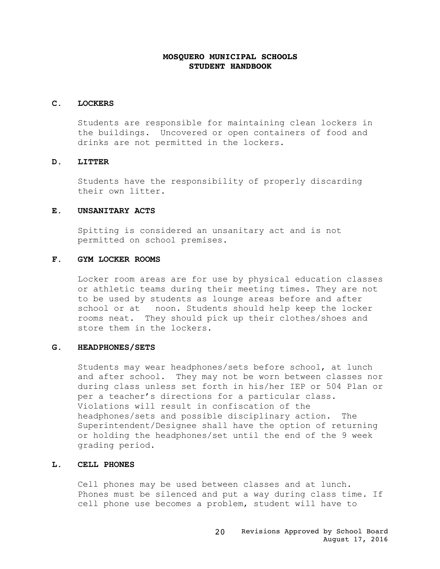#### **C. LOCKERS**

Students are responsible for maintaining clean lockers in the buildings. Uncovered or open containers of food and drinks are not permitted in the lockers.

### **D. LITTER**

Students have the responsibility of properly discarding their own litter.

#### **E. UNSANITARY ACTS**

Spitting is considered an unsanitary act and is not permitted on school premises.

#### **F. GYM LOCKER ROOMS**

Locker room areas are for use by physical education classes or athletic teams during their meeting times. They are not to be used by students as lounge areas before and after school or at noon. Students should help keep the locker rooms neat. They should pick up their clothes/shoes and store them in the lockers.

### **G. HEADPHONES/SETS**

Students may wear headphones/sets before school, at lunch and after school. They may not be worn between classes nor during class unless set forth in his/her IEP or 504 Plan or per a teacher's directions for a particular class. Violations will result in confiscation of the headphones/sets and possible disciplinary action. The Superintendent/Designee shall have the option of returning or holding the headphones/set until the end of the 9 week grading period.

#### **L. CELL PHONES**

Cell phones may be used between classes and at lunch. Phones must be silenced and put a way during class time. If cell phone use becomes a problem, student will have to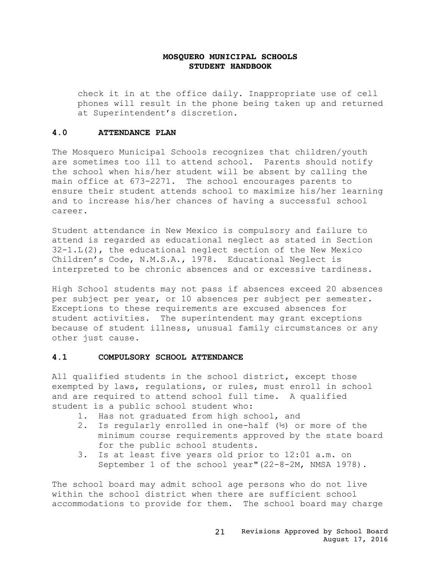check it in at the office daily. Inappropriate use of cell phones will result in the phone being taken up and returned at Superintendent's discretion.

#### **4.0 ATTENDANCE PLAN**

The Mosquero Municipal Schools recognizes that children/youth are sometimes too ill to attend school. Parents should notify the school when his/her student will be absent by calling the main office at 673-2271. The school encourages parents to ensure their student attends school to maximize his/her learning and to increase his/her chances of having a successful school career.

Student attendance in New Mexico is compulsory and failure to attend is regarded as educational neglect as stated in Section 32-1.L(2), the educational neglect section of the New Mexico Children's Code, N.M.S.A., 1978. Educational Neglect is interpreted to be chronic absences and or excessive tardiness.

High School students may not pass if absences exceed 20 absences per subject per year, or 10 absences per subject per semester. Exceptions to these requirements are excused absences for student activities. The superintendent may grant exceptions because of student illness, unusual family circumstances or any other just cause.

#### **4.1 COMPULSORY SCHOOL ATTENDANCE**

All qualified students in the school district, except those exempted by laws, regulations, or rules, must enroll in school and are required to attend school full time. A qualified student is a public school student who:

- 1. Has not graduated from high school, and
- 2. Is regularly enrolled in one-half (½) or more of the minimum course requirements approved by the state board for the public school students.
- 3. Is at least five years old prior to 12:01 a.m. on September 1 of the school year"(22-8-2M, NMSA 1978).

The school board may admit school age persons who do not live within the school district when there are sufficient school accommodations to provide for them. The school board may charge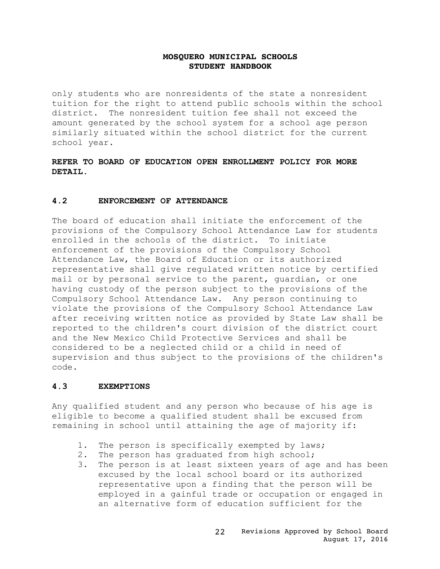only students who are nonresidents of the state a nonresident tuition for the right to attend public schools within the school district. The nonresident tuition fee shall not exceed the amount generated by the school system for a school age person similarly situated within the school district for the current school year.

# **REFER TO BOARD OF EDUCATION OPEN ENROLLMENT POLICY FOR MORE DETAIL.**

### **4.2 ENFORCEMENT OF ATTENDANCE**

The board of education shall initiate the enforcement of the provisions of the Compulsory School Attendance Law for students enrolled in the schools of the district. To initiate enforcement of the provisions of the Compulsory School Attendance Law, the Board of Education or its authorized representative shall give regulated written notice by certified mail or by personal service to the parent, guardian, or one having custody of the person subject to the provisions of the Compulsory School Attendance Law. Any person continuing to violate the provisions of the Compulsory School Attendance Law after receiving written notice as provided by State Law shall be reported to the children's court division of the district court and the New Mexico Child Protective Services and shall be considered to be a neglected child or a child in need of supervision and thus subject to the provisions of the children's code.

### **4.3 EXEMPTIONS**

Any qualified student and any person who because of his age is eligible to become a qualified student shall be excused from remaining in school until attaining the age of majority if:

- 1. The person is specifically exempted by laws;
- 2. The person has graduated from high school;
- 3. The person is at least sixteen years of age and has been excused by the local school board or its authorized representative upon a finding that the person will be employed in a gainful trade or occupation or engaged in an alternative form of education sufficient for the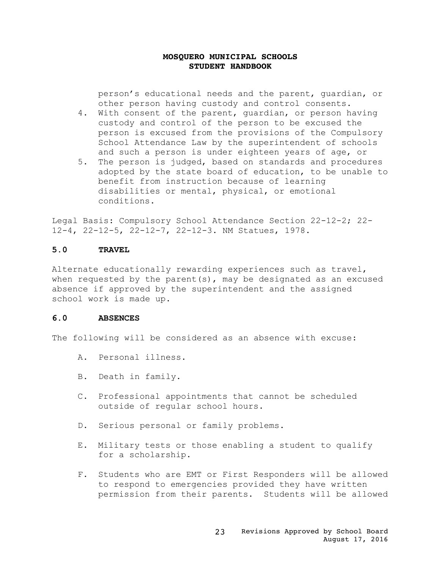person's educational needs and the parent, guardian, or other person having custody and control consents.

- 4. With consent of the parent, guardian, or person having custody and control of the person to be excused the person is excused from the provisions of the Compulsory School Attendance Law by the superintendent of schools and such a person is under eighteen years of age, or
- 5. The person is judged, based on standards and procedures adopted by the state board of education, to be unable to benefit from instruction because of learning disabilities or mental, physical, or emotional conditions.

Legal Basis: Compulsory School Attendance Section 22-12-2; 22- 12-4, 22-12-5, 22-12-7, 22-12-3. NM Statues, 1978.

### **5.0 TRAVEL**

Alternate educationally rewarding experiences such as travel, when requested by the parent(s), may be designated as an excused absence if approved by the superintendent and the assigned school work is made up.

#### **6.0 ABSENCES**

The following will be considered as an absence with excuse:

- A. Personal illness.
- B. Death in family.
- C. Professional appointments that cannot be scheduled outside of regular school hours.
- D. Serious personal or family problems.
- E. Military tests or those enabling a student to qualify for a scholarship.
- F. Students who are EMT or First Responders will be allowed to respond to emergencies provided they have written permission from their parents. Students will be allowed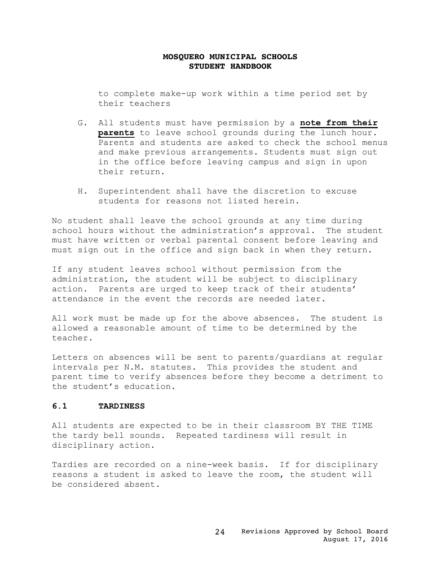to complete make-up work within a time period set by their teachers

- G. All students must have permission by a **note from their**  parents to leave school grounds during the lunch hour. Parents and students are asked to check the school menus and make previous arrangements. Students must sign out in the office before leaving campus and sign in upon their return.
- H. Superintendent shall have the discretion to excuse students for reasons not listed herein.

No student shall leave the school grounds at any time during school hours without the administration's approval. The student must have written or verbal parental consent before leaving and must sign out in the office and sign back in when they return.

If any student leaves school without permission from the administration, the student will be subject to disciplinary action. Parents are urged to keep track of their students' attendance in the event the records are needed later.

All work must be made up for the above absences. The student is allowed a reasonable amount of time to be determined by the teacher.

Letters on absences will be sent to parents/guardians at regular intervals per N.M. statutes. This provides the student and parent time to verify absences before they become a detriment to the student's education.

#### **6.1 TARDINESS**

All students are expected to be in their classroom BY THE TIME the tardy bell sounds. Repeated tardiness will result in disciplinary action.

Tardies are recorded on a nine-week basis. If for disciplinary reasons a student is asked to leave the room, the student will be considered absent.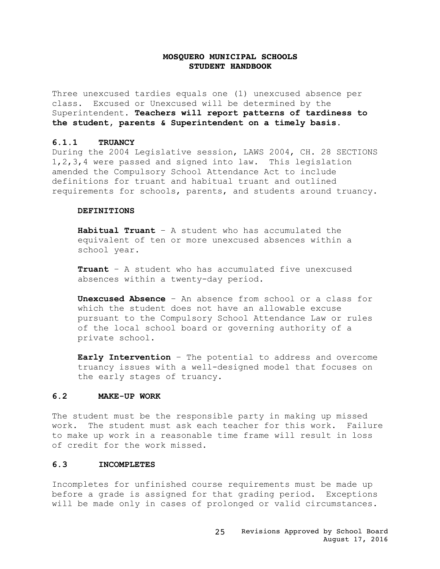Three unexcused tardies equals one (1) unexcused absence per class. Excused or Unexcused will be determined by the Superintendent. **Teachers will report patterns of tardiness to the student, parents & Superintendent on a timely basis.**

#### **6.1.1 TRUANCY**

During the 2004 Legislative session, LAWS 2004, CH. 28 SECTIONS 1,2,3,4 were passed and signed into law. This legislation amended the Compulsory School Attendance Act to include definitions for truant and habitual truant and outlined requirements for schools, parents, and students around truancy.

#### **DEFINITIONS**

**Habitual Truant** – A student who has accumulated the equivalent of ten or more unexcused absences within a school year.

**Truant** – A student who has accumulated five unexcused absences within a twenty-day period.

**Unexcused Absence** – An absence from school or a class for which the student does not have an allowable excuse pursuant to the Compulsory School Attendance Law or rules of the local school board or governing authority of a private school.

**Early Intervention** – The potential to address and overcome truancy issues with a well-designed model that focuses on the early stages of truancy.

### **6.2 MAKE-UP WORK**

The student must be the responsible party in making up missed work. The student must ask each teacher for this work. Failure to make up work in a reasonable time frame will result in loss of credit for the work missed.

#### **6.3 INCOMPLETES**

Incompletes for unfinished course requirements must be made up before a grade is assigned for that grading period. Exceptions will be made only in cases of prolonged or valid circumstances.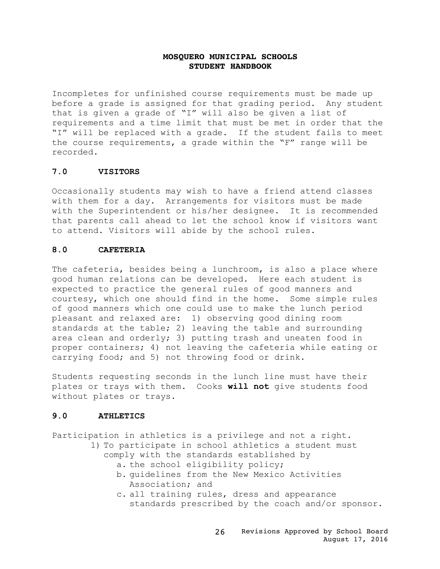Incompletes for unfinished course requirements must be made up before a grade is assigned for that grading period. Any student that is given a grade of "I" will also be given a list of requirements and a time limit that must be met in order that the "I" will be replaced with a grade. If the student fails to meet the course requirements, a grade within the "F" range will be recorded.

### **7.0 VISITORS**

Occasionally students may wish to have a friend attend classes with them for a day. Arrangements for visitors must be made with the Superintendent or his/her designee. It is recommended that parents call ahead to let the school know if visitors want to attend. Visitors will abide by the school rules.

### **8.0 CAFETERIA**

The cafeteria, besides being a lunchroom, is also a place where good human relations can be developed. Here each student is expected to practice the general rules of good manners and courtesy, which one should find in the home. Some simple rules of good manners which one could use to make the lunch period pleasant and relaxed are: 1) observing good dining room standards at the table; 2) leaving the table and surrounding area clean and orderly; 3) putting trash and uneaten food in proper containers; 4) not leaving the cafeteria while eating or carrying food; and 5) not throwing food or drink.

Students requesting seconds in the lunch line must have their plates or trays with them. Cooks **will not** give students food without plates or trays.

#### **9.0 ATHLETICS**

Participation in athletics is a privilege and not a right.

- 1) To participate in school athletics a student must comply with the standards established by
	- a. the school eligibility policy;
	- b. guidelines from the New Mexico Activities Association; and
	- c. all training rules, dress and appearance standards prescribed by the coach and/or sponsor.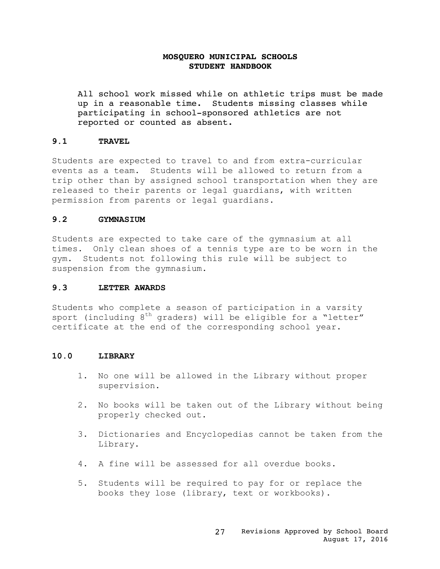All school work missed while on athletic trips must be made up in a reasonable time. Students missing classes while participating in school-sponsored athletics are not reported or counted as absent.

#### **9.1 TRAVEL**

Students are expected to travel to and from extra-curricular events as a team. Students will be allowed to return from a trip other than by assigned school transportation when they are released to their parents or legal guardians, with written permission from parents or legal guardians.

### **9.2 GYMNASIUM**

Students are expected to take care of the gymnasium at all times. Only clean shoes of a tennis type are to be worn in the gym. Students not following this rule will be subject to suspension from the gymnasium.

#### **9.3 LETTER AWARDS**

Students who complete a season of participation in a varsity sport (including  $8<sup>th</sup>$  graders) will be eligible for a "letter" certificate at the end of the corresponding school year.

# **10.0 LIBRARY**

- 1. No one will be allowed in the Library without proper supervision.
- 2. No books will be taken out of the Library without being properly checked out.
- 3. Dictionaries and Encyclopedias cannot be taken from the Library.
- 4. A fine will be assessed for all overdue books.
- 5. Students will be required to pay for or replace the books they lose (library, text or workbooks).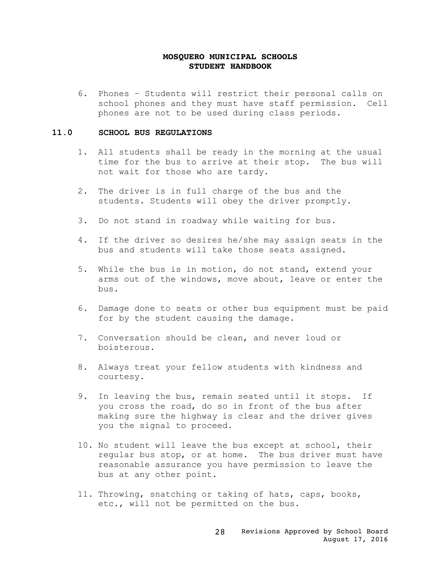6. Phones – Students will restrict their personal calls on school phones and they must have staff permission. Cell phones are not to be used during class periods.

#### **11.0 SCHOOL BUS REGULATIONS**

- 1. All students shall be ready in the morning at the usual time for the bus to arrive at their stop. The bus will not wait for those who are tardy.
- 2. The driver is in full charge of the bus and the students. Students will obey the driver promptly.
- 3. Do not stand in roadway while waiting for bus.
- 4. If the driver so desires he/she may assign seats in the bus and students will take those seats assigned.
- 5. While the bus is in motion, do not stand, extend your arms out of the windows, move about, leave or enter the bus.
- 6. Damage done to seats or other bus equipment must be paid for by the student causing the damage.
- 7. Conversation should be clean, and never loud or boisterous.
- 8. Always treat your fellow students with kindness and courtesy.
- 9. In leaving the bus, remain seated until it stops. If you cross the road, do so in front of the bus after making sure the highway is clear and the driver gives you the signal to proceed.
- 10. No student will leave the bus except at school, their regular bus stop, or at home. The bus driver must have reasonable assurance you have permission to leave the bus at any other point.
- 11. Throwing, snatching or taking of hats, caps, books, etc., will not be permitted on the bus.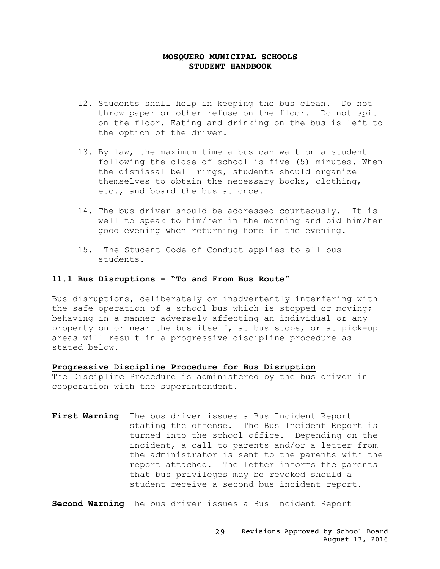- 12. Students shall help in keeping the bus clean. Do not throw paper or other refuse on the floor. Do not spit on the floor. Eating and drinking on the bus is left to the option of the driver.
- 13. By law, the maximum time a bus can wait on a student following the close of school is five (5) minutes. When the dismissal bell rings, students should organize themselves to obtain the necessary books, clothing, etc., and board the bus at once.
- 14. The bus driver should be addressed courteously. It is well to speak to him/her in the morning and bid him/her good evening when returning home in the evening.
- 15. The Student Code of Conduct applies to all bus students.

#### **11.1 Bus Disruptions – "To and From Bus Route"**

Bus disruptions, deliberately or inadvertently interfering with the safe operation of a school bus which is stopped or moving; behaving in a manner adversely affecting an individual or any property on or near the bus itself, at bus stops, or at pick-up areas will result in a progressive discipline procedure as stated below.

#### **Progressive Discipline Procedure for Bus Disruption**

The Discipline Procedure is administered by the bus driver in cooperation with the superintendent.

**First Warning** The bus driver issues a Bus Incident Report stating the offense. The Bus Incident Report is turned into the school office. Depending on the incident, a call to parents and/or a letter from the administrator is sent to the parents with the report attached. The letter informs the parents that bus privileges may be revoked should a student receive a second bus incident report.

**Second Warning** The bus driver issues a Bus Incident Report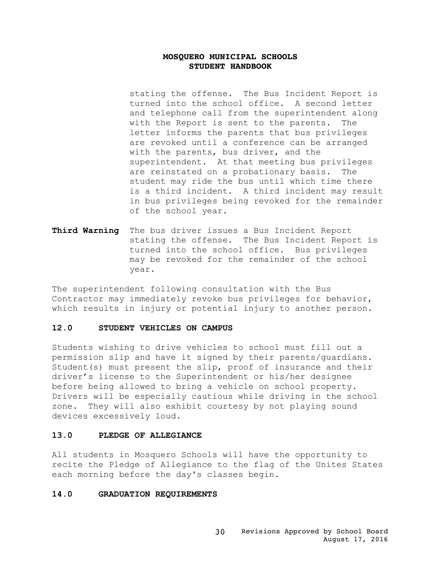stating the offense. The Bus Incident Report is turned into the school office. A second letter and telephone call from the superintendent along with the Report is sent to the parents. The letter informs the parents that bus privileges are revoked until a conference can be arranged with the parents, bus driver, and the superintendent. At that meeting bus privileges are reinstated on a probationary basis. The student may ride the bus until which time there is a third incident. A third incident may result in bus privileges being revoked for the remainder of the school year.

**Third Warning** The bus driver issues a Bus Incident Report stating the offense. The Bus Incident Report is turned into the school office. Bus privileges may be revoked for the remainder of the school year.

The superintendent following consultation with the Bus Contractor may immediately revoke bus privileges for behavior, which results in injury or potential injury to another person.

# **12.0 STUDENT VEHICLES ON CAMPUS**

Students wishing to drive vehicles to school must fill out a permission slip and have it signed by their parents/guardians. Student(s) must present the slip, proof of insurance and their driver's license to the Superintendent or his/her designee before being allowed to bring a vehicle on school property. Drivers will be especially cautious while driving in the school zone. They will also exhibit courtesy by not playing sound devices excessively loud.

### **13.0 PLEDGE OF ALLEGIANCE**

All students in Mosquero Schools will have the opportunity to recite the Pledge of Allegiance to the flag of the Unites States each morning before the day's classes begin.

#### **14.0 GRADUATION REQUIREMENTS**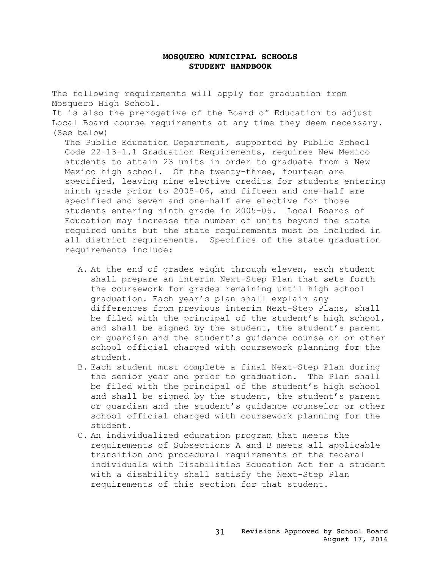The following requirements will apply for graduation from Mosquero High School.

It is also the prerogative of the Board of Education to adjust Local Board course requirements at any time they deem necessary. (See below)

The Public Education Department, supported by Public School Code 22-13-1.1 Graduation Requirements, requires New Mexico students to attain 23 units in order to graduate from a New Mexico high school. Of the twenty-three, fourteen are specified, leaving nine elective credits for students entering ninth grade prior to 2005-06, and fifteen and one-half are specified and seven and one-half are elective for those students entering ninth grade in 2005-06. Local Boards of Education may increase the number of units beyond the state required units but the state requirements must be included in all district requirements. Specifics of the state graduation requirements include:

- A. At the end of grades eight through eleven, each student shall prepare an interim Next-Step Plan that sets forth the coursework for grades remaining until high school graduation. Each year's plan shall explain any differences from previous interim Next-Step Plans, shall be filed with the principal of the student's high school, and shall be signed by the student, the student's parent or guardian and the student's guidance counselor or other school official charged with coursework planning for the student.
- B. Each student must complete a final Next-Step Plan during the senior year and prior to graduation. The Plan shall be filed with the principal of the student's high school and shall be signed by the student, the student's parent or guardian and the student's guidance counselor or other school official charged with coursework planning for the student.
- C. An individualized education program that meets the requirements of Subsections A and B meets all applicable transition and procedural requirements of the federal individuals with Disabilities Education Act for a student with a disability shall satisfy the Next-Step Plan requirements of this section for that student.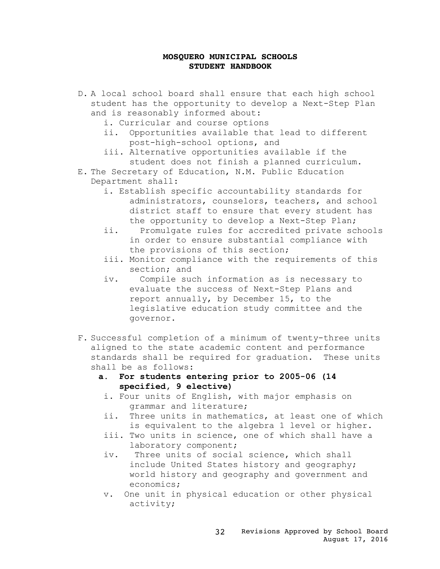- D. A local school board shall ensure that each high school student has the opportunity to develop a Next-Step Plan and is reasonably informed about:
	- i. Curricular and course options
	- ii. Opportunities available that lead to different post-high-school options, and
	- iii. Alternative opportunities available if the student does not finish a planned curriculum.
- E. The Secretary of Education, N.M. Public Education Department shall:
	- i. Establish specific accountability standards for administrators, counselors, teachers, and school district staff to ensure that every student has the opportunity to develop a Next-Step Plan;
	- ii. Promulgate rules for accredited private schools in order to ensure substantial compliance with the provisions of this section;
	- iii. Monitor compliance with the requirements of this section; and
	- iv. Compile such information as is necessary to evaluate the success of Next-Step Plans and report annually, by December 15, to the legislative education study committee and the governor.
- F. Successful completion of a minimum of twenty-three units aligned to the state academic content and performance standards shall be required for graduation. These units shall be as follows:
	- **a. For students entering prior to 2005-06 (14 specified, 9 elective)**
		- i. Four units of English, with major emphasis on grammar and literature;
		- ii. Three units in mathematics, at least one of which is equivalent to the algebra 1 level or higher.
		- iii. Two units in science, one of which shall have a laboratory component;
		- iv. Three units of social science, which shall include United States history and geography; world history and geography and government and economics;
		- v. One unit in physical education or other physical activity;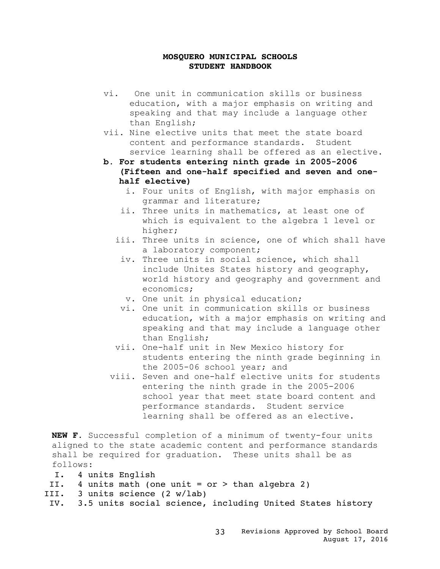- vi. One unit in communication skills or business education, with a major emphasis on writing and speaking and that may include a language other than English;
- vii. Nine elective units that meet the state board content and performance standards. Student service learning shall be offered as an elective.
- **b. For students entering ninth grade in 2005-2006 (Fifteen and one-half specified and seven and onehalf elective)**
	- i. Four units of English, with major emphasis on grammar and literature;
	- ii. Three units in mathematics, at least one of which is equivalent to the algebra 1 level or higher;
	- iii. Three units in science, one of which shall have a laboratory component;
		- iv. Three units in social science, which shall include Unites States history and geography, world history and geography and government and economics;
		- v. One unit in physical education;
	- vi. One unit in communication skills or business education, with a major emphasis on writing and speaking and that may include a language other than English;
	- vii. One-half unit in New Mexico history for students entering the ninth grade beginning in the 2005-06 school year; and
	- viii. Seven and one-half elective units for students entering the ninth grade in the 2005-2006 school year that meet state board content and performance standards. Student service learning shall be offered as an elective.

**NEW F.** Successful completion of a minimum of twenty-four units aligned to the state academic content and performance standards shall be required for graduation. These units shall be as follows:

- I. 4 units English
- II. 4 units math (one unit = or > than algebra 2)
- III. 3 units science (2 w/lab)
- IV. 3.5 units social science, including United States history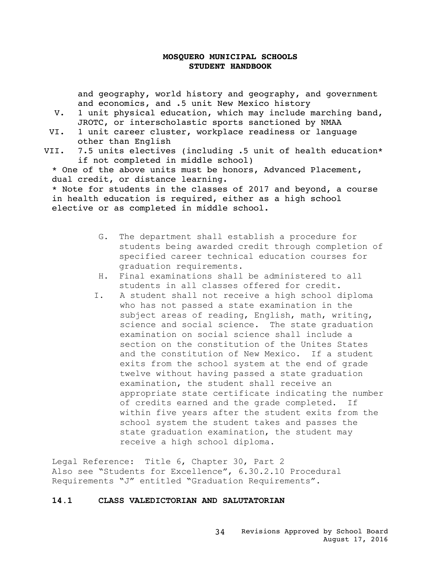and geography, world history and geography, and government and economics, and .5 unit New Mexico history

- V. 1 unit physical education, which may include marching band, JROTC, or interscholastic sports sanctioned by NMAA
- VI. 1 unit career cluster, workplace readiness or language other than English
- VII. 7.5 units electives (including .5 unit of health education\* if not completed in middle school)

\* One of the above units must be honors, Advanced Placement, dual credit, or distance learning.

\* Note for students in the classes of 2017 and beyond, a course in health education is required, either as a high school elective or as completed in middle school.

- G. The department shall establish a procedure for students being awarded credit through completion of specified career technical education courses for graduation requirements.
- H. Final examinations shall be administered to all students in all classes offered for credit.
- I. A student shall not receive a high school diploma who has not passed a state examination in the subject areas of reading, English, math, writing, science and social science. The state graduation examination on social science shall include a section on the constitution of the Unites States and the constitution of New Mexico. If a student exits from the school system at the end of grade twelve without having passed a state graduation examination, the student shall receive an appropriate state certificate indicating the number of credits earned and the grade completed. If within five years after the student exits from the school system the student takes and passes the state graduation examination, the student may receive a high school diploma.

Legal Reference: Title 6, Chapter 30, Part 2 Also see "Students for Excellence", 6.30.2.10 Procedural Requirements "J" entitled "Graduation Requirements".

#### **14.1 CLASS VALEDICTORIAN AND SALUTATORIAN**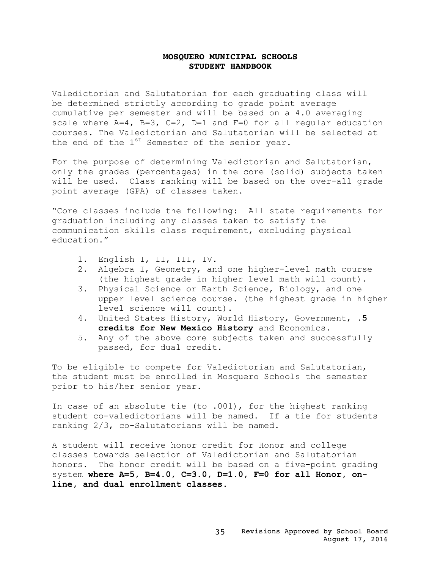Valedictorian and Salutatorian for each graduating class will be determined strictly according to grade point average cumulative per semester and will be based on a 4.0 averaging scale where  $A=4$ ,  $B=3$ ,  $C=2$ ,  $D=1$  and  $F=0$  for all regular education courses. The Valedictorian and Salutatorian will be selected at the end of the  $1^{st}$  Semester of the senior year.

For the purpose of determining Valedictorian and Salutatorian, only the grades (percentages) in the core (solid) subjects taken will be used. Class ranking will be based on the over-all grade point average (GPA) of classes taken.

"Core classes include the following: All state requirements for graduation including any classes taken to satisfy the communication skills class requirement, excluding physical education."

- 1. English I, II, III, IV.
- 2. Algebra I, Geometry, and one higher-level math course (the highest grade in higher level math will count).
- 3. Physical Science or Earth Science, Biology, and one upper level science course. (the highest grade in higher level science will count).
- 4. United States History, World History, Government, **.5 credits for New Mexico History** and Economics.
- 5. Any of the above core subjects taken and successfully passed, for dual credit.

To be eligible to compete for Valedictorian and Salutatorian, the student must be enrolled in Mosquero Schools the semester prior to his/her senior year.

In case of an absolute tie (to .001), for the highest ranking student co-valedictorians will be named. If a tie for students ranking 2/3, co-Salutatorians will be named.

A student will receive honor credit for Honor and college classes towards selection of Valedictorian and Salutatorian honors. The honor credit will be based on a five-point grading system **where A=5, B=4.0, C=3.0, D=1.0, F=0 for all Honor, online, and dual enrollment classes.**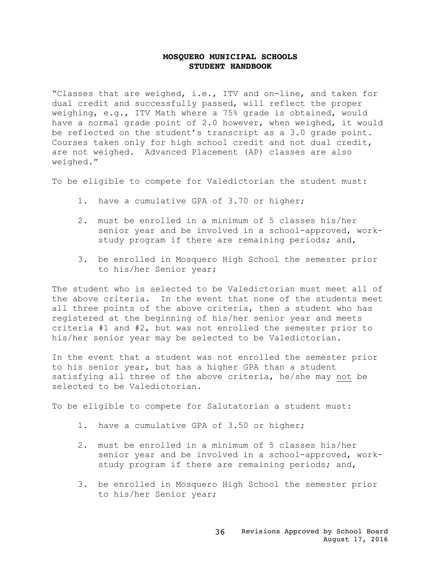"Classes that are weighed, i.e., ITV and on-line, and taken for dual credit and successfully passed, will reflect the proper weighing, e.g., ITV Math where a 75% grade is obtained, would have a normal grade point of 2.0 however, when weighed, it would be reflected on the student's transcript as a 3.0 grade point. Courses taken only for high school credit and not dual credit, are not weighed. Advanced Placement (AP) classes are also weighed."

To be eligible to compete for Valedictorian the student must:

- 1. have a cumulative GPA of 3.70 or higher;
- 2. must be enrolled in a minimum of 5 classes his/her senior year and be involved in a school-approved, workstudy program if there are remaining periods; and,
- 3. be enrolled in Mosquero High School the semester prior to his/her Senior year;

The student who is selected to be Valedictorian must meet all of the above criteria. In the event that none of the students meet all three points of the above criteria, then a student who has registered at the beginning of his/her senior year and meets criteria #1 and #2, but was not enrolled the semester prior to his/her senior year may be selected to be Valedictorian.

In the event that a student was not enrolled the semester prior to his senior year, but has a higher GPA than a student satisfying all three of the above criteria, he/she may not be selected to be Valedictorian.

To be eligible to compete for Salutatorian a student must:

- 1. have a cumulative GPA of 3.50 or higher;
- 2. must be enrolled in a minimum of 5 classes his/her senior year and be involved in a school-approved, workstudy program if there are remaining periods; and,
- 3. be enrolled in Mosquero High School the semester prior to his/her Senior year;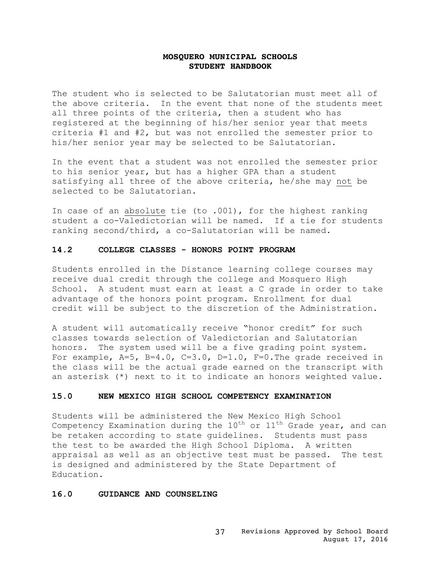The student who is selected to be Salutatorian must meet all of the above criteria. In the event that none of the students meet all three points of the criteria, then a student who has registered at the beginning of his/her senior year that meets criteria #1 and #2, but was not enrolled the semester prior to his/her senior year may be selected to be Salutatorian.

In the event that a student was not enrolled the semester prior to his senior year, but has a higher GPA than a student satisfying all three of the above criteria, he/she may not be selected to be Salutatorian.

In case of an absolute tie (to .001), for the highest ranking student a co-Valedictorian will be named. If a tie for students ranking second/third, a co-Salutatorian will be named.

### **14.2 COLLEGE CLASSES - HONORS POINT PROGRAM**

Students enrolled in the Distance learning college courses may receive dual credit through the college and Mosquero High School. A student must earn at least a C grade in order to take advantage of the honors point program. Enrollment for dual credit will be subject to the discretion of the Administration.

A student will automatically receive "honor credit" for such classes towards selection of Valedictorian and Salutatorian honors. The system used will be a five grading point system. For example,  $A=5$ ,  $B=4.0$ ,  $C=3.0$ ,  $D=1.0$ ,  $F=0$ . The grade received in the class will be the actual grade earned on the transcript with an asterisk (\*) next to it to indicate an honors weighted value.

#### **15.0 NEW MEXICO HIGH SCHOOL COMPETENCY EXAMINATION**

Students will be administered the New Mexico High School Competency Examination during the  $10^{th}$  or  $11^{th}$  Grade year, and can be retaken according to state guidelines. Students must pass the test to be awarded the High School Diploma. A written appraisal as well as an objective test must be passed. The test is designed and administered by the State Department of Education.

# **16.0 GUIDANCE AND COUNSELING**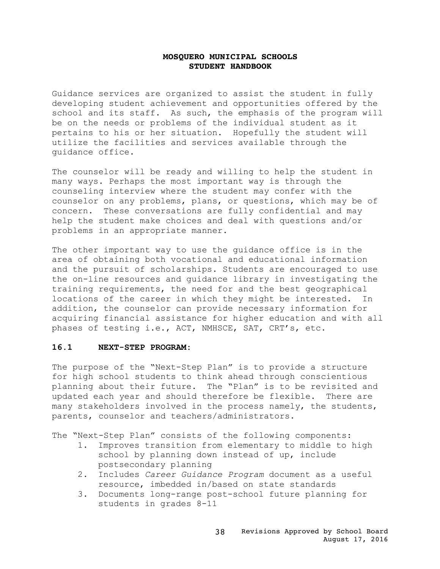Guidance services are organized to assist the student in fully developing student achievement and opportunities offered by the school and its staff. As such, the emphasis of the program will be on the needs or problems of the individual student as it pertains to his or her situation. Hopefully the student will utilize the facilities and services available through the guidance office.

The counselor will be ready and willing to help the student in many ways. Perhaps the most important way is through the counseling interview where the student may confer with the counselor on any problems, plans, or questions, which may be of concern. These conversations are fully confidential and may help the student make choices and deal with questions and/or problems in an appropriate manner.

The other important way to use the guidance office is in the area of obtaining both vocational and educational information and the pursuit of scholarships. Students are encouraged to use the on-line resources and guidance library in investigating the training requirements, the need for and the best geographical locations of the career in which they might be interested. In addition, the counselor can provide necessary information for acquiring financial assistance for higher education and with all phases of testing i.e., ACT, NMHSCE, SAT, CRT's, etc.

### **16.1 NEXT-STEP PROGRAM:**

The purpose of the "Next-Step Plan" is to provide a structure for high school students to think ahead through conscientious planning about their future. The "Plan" is to be revisited and updated each year and should therefore be flexible. There are many stakeholders involved in the process namely, the students, parents, counselor and teachers/administrators.

The "Next-Step Plan" consists of the following components:

- 1. Improves transition from elementary to middle to high school by planning down instead of up, include postsecondary planning
- 2. Includes *Career Guidance Program* document as a useful resource, imbedded in/based on state standards
- 3. Documents long-range post-school future planning for students in grades 8-11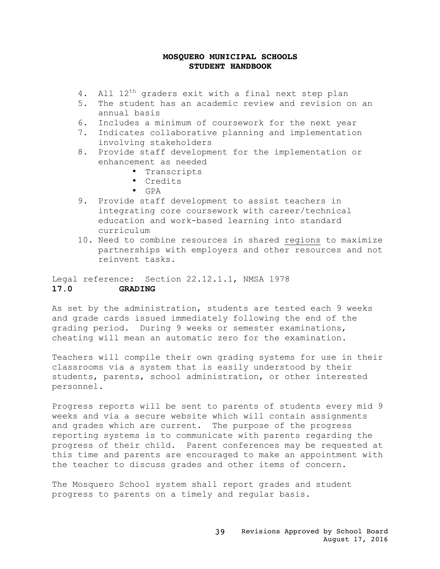- 4. All 12<sup>th</sup> graders exit with a final next step plan
- 5. The student has an academic review and revision on an annual basis
- 6. Includes a minimum of coursework for the next year
- 7. Indicates collaborative planning and implementation involving stakeholders
- 8. Provide staff development for the implementation or enhancement as needed
	- Transcripts
	- Credits
	- GPA
- 9. Provide staff development to assist teachers in integrating core coursework with career/technical education and work-based learning into standard curriculum
- 10. Need to combine resources in shared regions to maximize partnerships with employers and other resources and not reinvent tasks.

Legal reference: Section 22.12.1.1, NMSA 1978 **17.0 GRADING**

As set by the administration, students are tested each 9 weeks and grade cards issued immediately following the end of the grading period. During 9 weeks or semester examinations, cheating will mean an automatic zero for the examination.

Teachers will compile their own grading systems for use in their classrooms via a system that is easily understood by their students, parents, school administration, or other interested personnel.

Progress reports will be sent to parents of students every mid 9 weeks and via a secure website which will contain assignments and grades which are current. The purpose of the progress reporting systems is to communicate with parents regarding the progress of their child. Parent conferences may be requested at this time and parents are encouraged to make an appointment with the teacher to discuss grades and other items of concern.

The Mosquero School system shall report grades and student progress to parents on a timely and regular basis.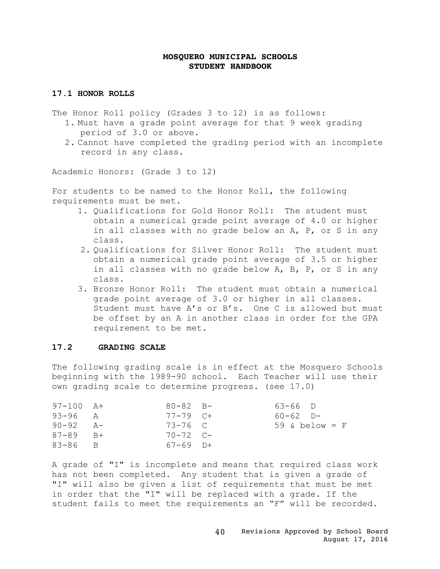#### **17.1 HONOR ROLLS**

The Honor Roll policy (Grades 3 to 12) is as follows:

- 1. Must have a grade point average for that 9 week grading period of 3.0 or above.
- 2. Cannot have completed the grading period with an incomplete record in any class.

Academic Honors: (Grade 3 to 12)

For students to be named to the Honor Roll, the following requirements must be met.

- 1. Qualifications for Gold Honor Roll: The student must obtain a numerical grade point average of 4.0 or higher in all classes with no grade below an A, P, or S in any class.
- 2. Qualifications for Silver Honor Roll: The student must obtain a numerical grade point average of 3.5 or higher in all classes with no grade below A, B, P, or S in any class.
- 3. Bronze Honor Roll: The student must obtain a numerical grade point average of 3.0 or higher in all classes. Student must have A's or B's. One C is allowed but must be offset by an A in another class in order for the GPA requirement to be met.

### **17.2 GRADING SCALE**

The following grading scale is in effect at the Mosquero Schools beginning with the 1989-90 school. Each Teacher will use their own grading scale to determine progress. (see 17.0)

| $97 - 100$ A+   | $80 - 82$ B- | 63-66 D          |
|-----------------|--------------|------------------|
| 93–96 A         | $77 - 79$ C+ | 60-62 D-         |
| $90 - 92$ $A -$ | 73-76 C      | 59 & below = $F$ |
| $87 - 89$ B+    | $70 - 72$ C- |                  |
| 83-86 B         | 67-69 D+     |                  |

A grade of "I" is incomplete and means that required class work has not been completed. Any student that is given a grade of "I" will also be given a list of requirements that must be met in order that the "I" will be replaced with a grade. If the student fails to meet the requirements an "F" will be recorded.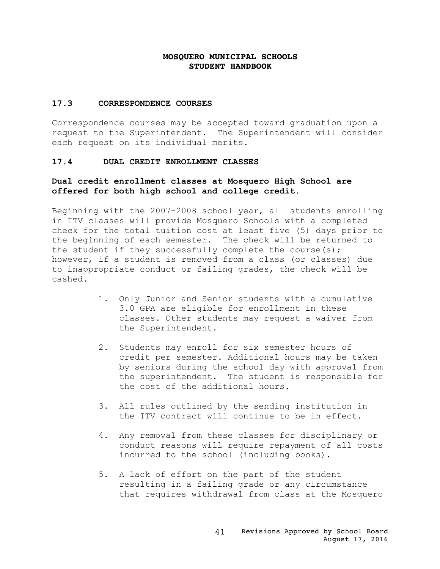#### **17.3 CORRESPONDENCE COURSES**

Correspondence courses may be accepted toward graduation upon a request to the Superintendent. The Superintendent will consider each request on its individual merits.

#### **17.4 DUAL CREDIT ENROLLMENT CLASSES**

# **Dual credit enrollment classes at Mosquero High School are offered for both high school and college credit.**

Beginning with the 2007-2008 school year, all students enrolling in ITV classes will provide Mosquero Schools with a completed check for the total tuition cost at least five (5) days prior to the beginning of each semester. The check will be returned to the student if they successfully complete the course(s); however, if a student is removed from a class (or classes) due to inappropriate conduct or failing grades, the check will be cashed.

- 1. Only Junior and Senior students with a cumulative 3.0 GPA are eligible for enrollment in these classes. Other students may request a waiver from the Superintendent.
- 2. Students may enroll for six semester hours of credit per semester. Additional hours may be taken by seniors during the school day with approval from the superintendent. The student is responsible for the cost of the additional hours.
- 3. All rules outlined by the sending institution in the ITV contract will continue to be in effect.
- 4. Any removal from these classes for disciplinary or conduct reasons will require repayment of all costs incurred to the school (including books).
- 5. A lack of effort on the part of the student resulting in a failing grade or any circumstance that requires withdrawal from class at the Mosquero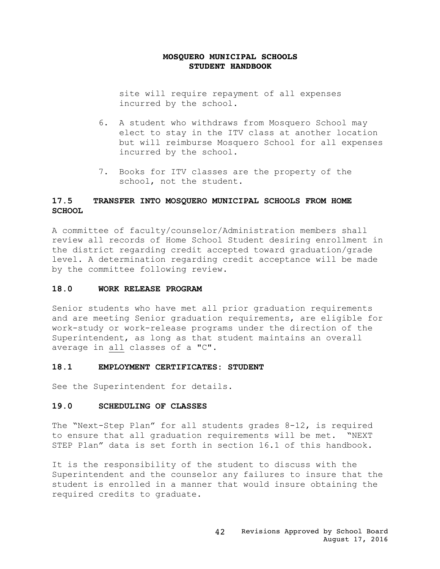site will require repayment of all expenses incurred by the school.

- 6. A student who withdraws from Mosquero School may elect to stay in the ITV class at another location but will reimburse Mosquero School for all expenses incurred by the school.
- 7. Books for ITV classes are the property of the school, not the student.

# **17.5 TRANSFER INTO MOSQUERO MUNICIPAL SCHOOLS FROM HOME SCHOOL**

A committee of faculty/counselor/Administration members shall review all records of Home School Student desiring enrollment in the district regarding credit accepted toward graduation/grade level. A determination regarding credit acceptance will be made by the committee following review.

### **18.0 WORK RELEASE PROGRAM**

Senior students who have met all prior graduation requirements and are meeting Senior graduation requirements, are eligible for work-study or work-release programs under the direction of the Superintendent, as long as that student maintains an overall average in all classes of a "C".

#### **18.1 EMPLOYMENT CERTIFICATES: STUDENT**

See the Superintendent for details.

#### **19.0 SCHEDULING OF CLASSES**

The "Next-Step Plan" for all students grades 8-12, is required to ensure that all graduation requirements will be met. "NEXT STEP Plan" data is set forth in section 16.1 of this handbook.

It is the responsibility of the student to discuss with the Superintendent and the counselor any failures to insure that the student is enrolled in a manner that would insure obtaining the required credits to graduate.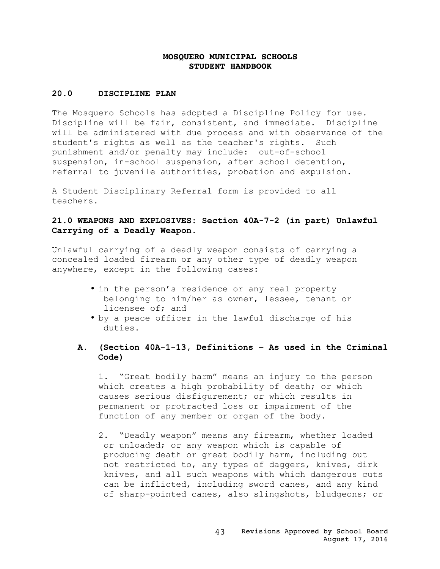#### **20.0 DISCIPLINE PLAN**

The Mosquero Schools has adopted a Discipline Policy for use. Discipline will be fair, consistent, and immediate. Discipline will be administered with due process and with observance of the student's rights as well as the teacher's rights. Such punishment and/or penalty may include: out-of-school suspension, in-school suspension, after school detention, referral to juvenile authorities, probation and expulsion.

A Student Disciplinary Referral form is provided to all teachers.

# **21.0 WEAPONS AND EXPLOSIVES: Section 40A-7-2 (in part) Unlawful Carrying of a Deadly Weapon.**

Unlawful carrying of a deadly weapon consists of carrying a concealed loaded firearm or any other type of deadly weapon anywhere, except in the following cases:

- in the person's residence or any real property belonging to him/her as owner, lessee, tenant or licensee of; and
- by a peace officer in the lawful discharge of his duties.

# **A. (Section 40A-1-13, Definitions – As used in the Criminal Code)**

1. "Great bodily harm" means an injury to the person which creates a high probability of death; or which causes serious disfigurement; or which results in permanent or protracted loss or impairment of the function of any member or organ of the body.

2. "Deadly weapon" means any firearm, whether loaded or unloaded; or any weapon which is capable of producing death or great bodily harm, including but not restricted to, any types of daggers, knives, dirk knives, and all such weapons with which dangerous cuts can be inflicted, including sword canes, and any kind of sharp-pointed canes, also slingshots, bludgeons; or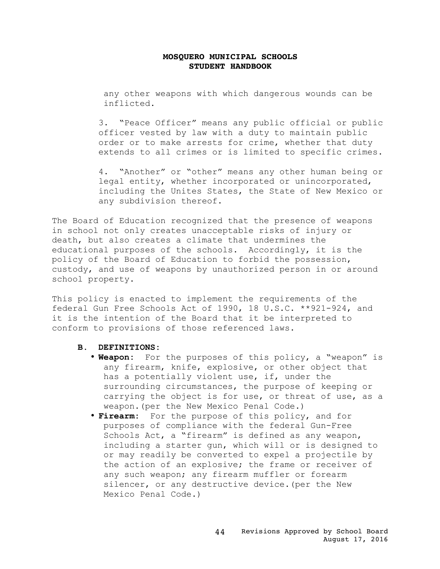any other weapons with which dangerous wounds can be inflicted.

3. "Peace Officer" means any public official or public officer vested by law with a duty to maintain public order or to make arrests for crime, whether that duty extends to all crimes or is limited to specific crimes.

4. "Another" or "other" means any other human being or legal entity, whether incorporated or unincorporated, including the Unites States, the State of New Mexico or any subdivision thereof.

The Board of Education recognized that the presence of weapons in school not only creates unacceptable risks of injury or death, but also creates a climate that undermines the educational purposes of the schools. Accordingly, it is the policy of the Board of Education to forbid the possession, custody, and use of weapons by unauthorized person in or around school property.

This policy is enacted to implement the requirements of the federal Gun Free Schools Act of 1990, 18 U.S.C. \*\*921-924, and it is the intention of the Board that it be interpreted to conform to provisions of those referenced laws.

# **B. DEFINITIONS:**

- **Weapon:** For the purposes of this policy, a "weapon" is any firearm, knife, explosive, or other object that has a potentially violent use, if, under the surrounding circumstances, the purpose of keeping or carrying the object is for use, or threat of use, as a weapon.(per the New Mexico Penal Code.)
- **Firearm:** For the purpose of this policy, and for purposes of compliance with the federal Gun-Free Schools Act, a "firearm" is defined as any weapon, including a starter gun, which will or is designed to or may readily be converted to expel a projectile by the action of an explosive; the frame or receiver of any such weapon; any firearm muffler or forearm silencer, or any destructive device. (per the New Mexico Penal Code.)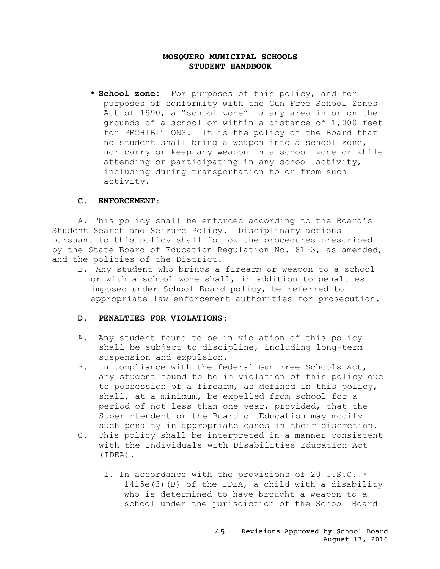• **School zone:** For purposes of this policy, and for purposes of conformity with the Gun Free School Zones Act of 1990, a "school zone" is any area in or on the grounds of a school or within a distance of 1,000 feet for PROHIBITIONS: It is the policy of the Board that no student shall bring a weapon into a school zone, nor carry or keep any weapon in a school zone or while attending or participating in any school activity, including during transportation to or from such activity.

#### **C. ENFORCEMENT:**

A. This policy shall be enforced according to the Board's Student Search and Seizure Policy. Disciplinary actions pursuant to this policy shall follow the procedures prescribed by the State Board of Education Regulation No. 81-3, as amended, and the policies of the District.

B. Any student who brings a firearm or weapon to a school or with a school zone shall, in addition to penalties imposed under School Board policy, be referred to appropriate law enforcement authorities for prosecution.

#### **D. PENALTIES FOR VIOLATIONS:**

- A. Any student found to be in violation of this policy shall be subject to discipline, including long-term suspension and expulsion.
- B. In compliance with the federal Gun Free Schools Act, any student found to be in violation of this policy due to possession of a firearm, as defined in this policy, shall, at a minimum, be expelled from school for a period of not less than one year, provided, that the Superintendent or the Board of Education may modify such penalty in appropriate cases in their discretion.
- C. This policy shall be interpreted in a manner consistent with the Individuals with Disabilities Education Act (IDEA).
	- 1. In accordance with the provisions of 20 U.S.C. \* 1415e(3)(B) of the IDEA, a child with a disability who is determined to have brought a weapon to a school under the jurisdiction of the School Board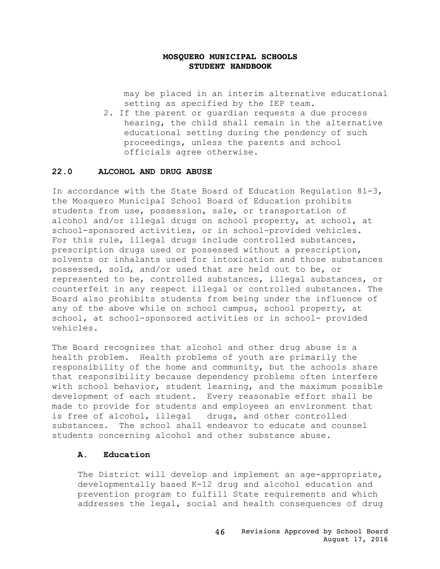may be placed in an interim alternative educational setting as specified by the IEP team.

2. If the parent or guardian requests a due process hearing, the child shall remain in the alternative educational setting during the pendency of such proceedings, unless the parents and school officials agree otherwise.

### **22.0 ALCOHOL AND DRUG ABUSE**

In accordance with the State Board of Education Regulation 81-3, the Mosquero Municipal School Board of Education prohibits students from use, possession, sale, or transportation of alcohol and/or illegal drugs on school property, at school, at school-sponsored activities, or in school-provided vehicles. For this rule, illegal drugs include controlled substances, prescription drugs used or possessed without a prescription, solvents or inhalants used for intoxication and those substances possessed, sold, and/or used that are held out to be, or represented to be, controlled substances, illegal substances, or counterfeit in any respect illegal or controlled substances. The Board also prohibits students from being under the influence of any of the above while on school campus, school property, at school, at school-sponsored activities or in school- provided vehicles.

The Board recognizes that alcohol and other drug abuse is a health problem. Health problems of youth are primarily the responsibility of the home and community, but the schools share that responsibility because dependency problems often interfere with school behavior, student learning, and the maximum possible development of each student. Every reasonable effort shall be made to provide for students and employees an environment that is free of alcohol, illegal drugs, and other controlled substances. The school shall endeavor to educate and counsel students concerning alcohol and other substance abuse.

### **A. Education**

The District will develop and implement an age-appropriate, developmentally based K-12 drug and alcohol education and prevention program to fulfill State requirements and which addresses the legal, social and health consequences of drug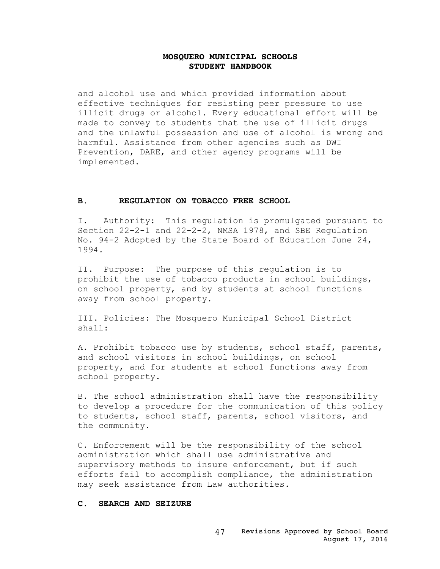and alcohol use and which provided information about effective techniques for resisting peer pressure to use illicit drugs or alcohol. Every educational effort will be made to convey to students that the use of illicit drugs and the unlawful possession and use of alcohol is wrong and harmful. Assistance from other agencies such as DWI Prevention, DARE, and other agency programs will be implemented.

#### **B. REGULATION ON TOBACCO FREE SCHOOL**

I. Authority: This regulation is promulgated pursuant to Section 22-2-1 and 22-2-2, NMSA 1978, and SBE Regulation No. 94-2 Adopted by the State Board of Education June 24, 1994.

II. Purpose: The purpose of this regulation is to prohibit the use of tobacco products in school buildings, on school property, and by students at school functions away from school property.

III. Policies: The Mosquero Municipal School District shall:

A. Prohibit tobacco use by students, school staff, parents, and school visitors in school buildings, on school property, and for students at school functions away from school property.

B. The school administration shall have the responsibility to develop a procedure for the communication of this policy to students, school staff, parents, school visitors, and the community.

C. Enforcement will be the responsibility of the school administration which shall use administrative and supervisory methods to insure enforcement, but if such efforts fail to accomplish compliance, the administration may seek assistance from Law authorities.

#### **C. SEARCH AND SEIZURE**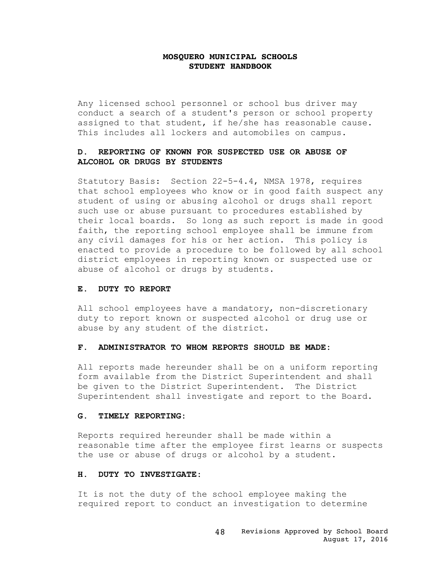Any licensed school personnel or school bus driver may conduct a search of a student's person or school property assigned to that student, if he/she has reasonable cause. This includes all lockers and automobiles on campus.

# **D. REPORTING OF KNOWN FOR SUSPECTED USE OR ABUSE OF ALCOHOL OR DRUGS BY STUDENTS**

Statutory Basis: Section 22-5-4.4, NMSA 1978, requires that school employees who know or in good faith suspect any student of using or abusing alcohol or drugs shall report such use or abuse pursuant to procedures established by their local boards. So long as such report is made in good faith, the reporting school employee shall be immune from any civil damages for his or her action. This policy is enacted to provide a procedure to be followed by all school district employees in reporting known or suspected use or abuse of alcohol or drugs by students.

#### **E. DUTY TO REPORT**

All school employees have a mandatory, non-discretionary duty to report known or suspected alcohol or drug use or abuse by any student of the district.

# **F. ADMINISTRATOR TO WHOM REPORTS SHOULD BE MADE:**

All reports made hereunder shall be on a uniform reporting form available from the District Superintendent and shall be given to the District Superintendent. The District Superintendent shall investigate and report to the Board.

#### **G. TIMELY REPORTING:**

Reports required hereunder shall be made within a reasonable time after the employee first learns or suspects the use or abuse of drugs or alcohol by a student.

#### **H. DUTY TO INVESTIGATE:**

It is not the duty of the school employee making the required report to conduct an investigation to determine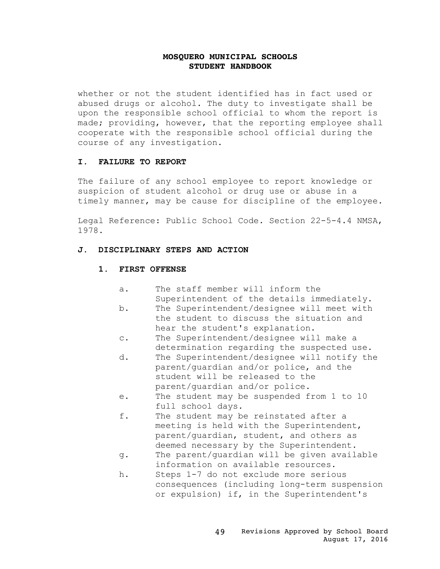whether or not the student identified has in fact used or abused drugs or alcohol. The duty to investigate shall be upon the responsible school official to whom the report is made; providing, however, that the reporting employee shall cooperate with the responsible school official during the course of any investigation.

### **I. FAILURE TO REPORT**

The failure of any school employee to report knowledge or suspicion of student alcohol or drug use or abuse in a timely manner, may be cause for discipline of the employee.

Legal Reference: Public School Code. Section 22-5-4.4 NMSA, 1978.

### **J. DISCIPLINARY STEPS AND ACTION**

#### **1. FIRST OFFENSE**

- a. The staff member will inform the Superintendent of the details immediately.
- b. The Superintendent/designee will meet with the student to discuss the situation and hear the student's explanation.
- c. The Superintendent/designee will make a determination regarding the suspected use.
- d. The Superintendent/designee will notify the parent/guardian and/or police, and the student will be released to the parent/guardian and/or police.
- e. The student may be suspended from 1 to 10 full school days.
- f. The student may be reinstated after a meeting is held with the Superintendent, parent/guardian, student, and others as deemed necessary by the Superintendent.
- g. The parent/guardian will be given available information on available resources.
- h. Steps 1-7 do not exclude more serious consequences (including long-term suspension or expulsion) if, in the Superintendent's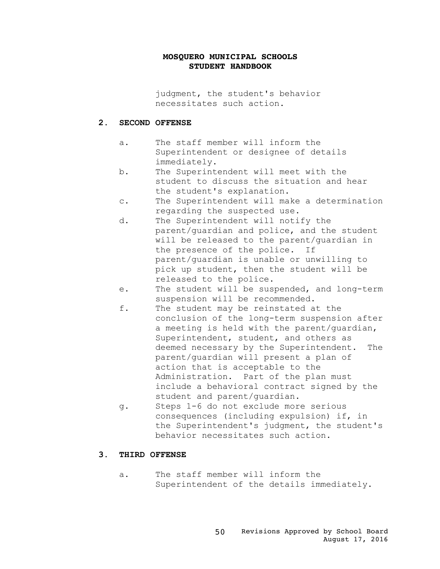judgment, the student's behavior necessitates such action.

### **2. SECOND OFFENSE**

- a. The staff member will inform the Superintendent or designee of details immediately.
- b. The Superintendent will meet with the student to discuss the situation and hear the student's explanation.
- c. The Superintendent will make a determination regarding the suspected use.
- d. The Superintendent will notify the parent/guardian and police, and the student will be released to the parent/guardian in the presence of the police. If parent/guardian is unable or unwilling to pick up student, then the student will be released to the police.
- e. The student will be suspended, and long-term suspension will be recommended.
- f. The student may be reinstated at the conclusion of the long-term suspension after a meeting is held with the parent/guardian, Superintendent, student, and others as deemed necessary by the Superintendent. The parent/guardian will present a plan of action that is acceptable to the Administration. Part of the plan must include a behavioral contract signed by the student and parent/guardian.
- g. Steps 1-6 do not exclude more serious consequences (including expulsion) if, in the Superintendent's judgment, the student's behavior necessitates such action.

# **3. THIRD OFFENSE**

a. The staff member will inform the Superintendent of the details immediately.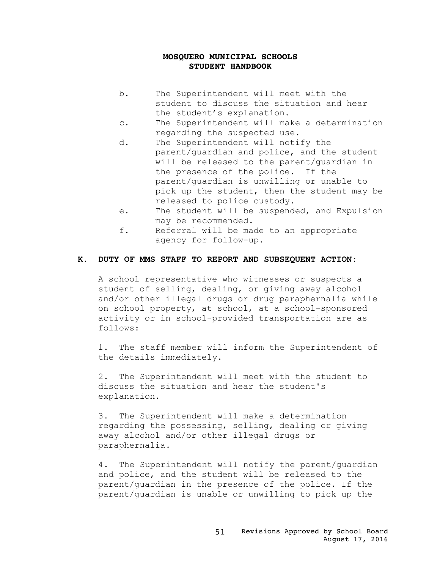- b. The Superintendent will meet with the student to discuss the situation and hear the student's explanation.
- c. The Superintendent will make a determination regarding the suspected use.
- d. The Superintendent will notify the parent/guardian and police, and the student will be released to the parent/guardian in the presence of the police. If the parent/guardian is unwilling or unable to pick up the student, then the student may be released to police custody.
- e. The student will be suspended, and Expulsion may be recommended.
- f. Referral will be made to an appropriate agency for follow-up.

#### **K. DUTY OF MMS STAFF TO REPORT AND SUBSEQUENT ACTION:**

A school representative who witnesses or suspects a student of selling, dealing, or giving away alcohol and/or other illegal drugs or drug paraphernalia while on school property, at school, at a school-sponsored activity or in school-provided transportation are as follows:

1. The staff member will inform the Superintendent of the details immediately.

2. The Superintendent will meet with the student to discuss the situation and hear the student's explanation.

3. The Superintendent will make a determination regarding the possessing, selling, dealing or giving away alcohol and/or other illegal drugs or paraphernalia.

4. The Superintendent will notify the parent/guardian and police, and the student will be released to the parent/guardian in the presence of the police. If the parent/guardian is unable or unwilling to pick up the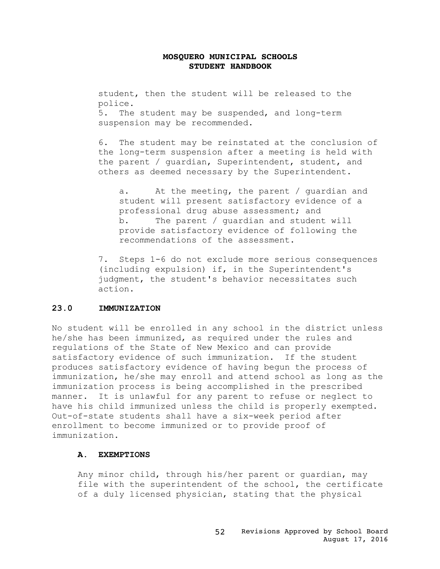student, then the student will be released to the police.

5. The student may be suspended, and long-term suspension may be recommended.

6. The student may be reinstated at the conclusion of the long-term suspension after a meeting is held with the parent / guardian, Superintendent, student, and others as deemed necessary by the Superintendent.

a. At the meeting, the parent / guardian and student will present satisfactory evidence of a professional drug abuse assessment; and b. The parent / guardian and student will provide satisfactory evidence of following the recommendations of the assessment.

7. Steps 1-6 do not exclude more serious consequences (including expulsion) if, in the Superintendent's judgment, the student's behavior necessitates such action.

# **23.0 IMMUNIZATION**

No student will be enrolled in any school in the district unless he/she has been immunized, as required under the rules and regulations of the State of New Mexico and can provide satisfactory evidence of such immunization. If the student produces satisfactory evidence of having begun the process of immunization, he/she may enroll and attend school as long as the immunization process is being accomplished in the prescribed manner. It is unlawful for any parent to refuse or neglect to have his child immunized unless the child is properly exempted. Out-of-state students shall have a six-week period after enrollment to become immunized or to provide proof of immunization.

# **A. EXEMPTIONS**

Any minor child, through his/her parent or guardian, may file with the superintendent of the school, the certificate of a duly licensed physician, stating that the physical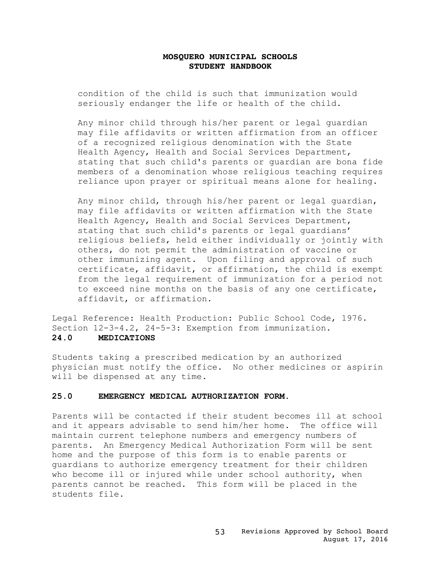condition of the child is such that immunization would seriously endanger the life or health of the child.

Any minor child through his/her parent or legal guardian may file affidavits or written affirmation from an officer of a recognized religious denomination with the State Health Agency, Health and Social Services Department, stating that such child's parents or guardian are bona fide members of a denomination whose religious teaching requires reliance upon prayer or spiritual means alone for healing.

Any minor child, through his/her parent or legal guardian, may file affidavits or written affirmation with the State Health Agency, Health and Social Services Department, stating that such child's parents or legal guardians' religious beliefs, held either individually or jointly with others, do not permit the administration of vaccine or other immunizing agent. Upon filing and approval of such certificate, affidavit, or affirmation, the child is exempt from the legal requirement of immunization for a period not to exceed nine months on the basis of any one certificate, affidavit, or affirmation.

Legal Reference: Health Production: Public School Code, 1976. Section 12-3-4.2, 24-5-3: Exemption from immunization.

# **24.0 MEDICATIONS**

Students taking a prescribed medication by an authorized physician must notify the office. No other medicines or aspirin will be dispensed at any time.

#### **25.0 EMERGENCY MEDICAL AUTHORIZATION FORM.**

Parents will be contacted if their student becomes ill at school and it appears advisable to send him/her home. The office will maintain current telephone numbers and emergency numbers of parents. An Emergency Medical Authorization Form will be sent home and the purpose of this form is to enable parents or guardians to authorize emergency treatment for their children who become ill or injured while under school authority, when parents cannot be reached. This form will be placed in the students file.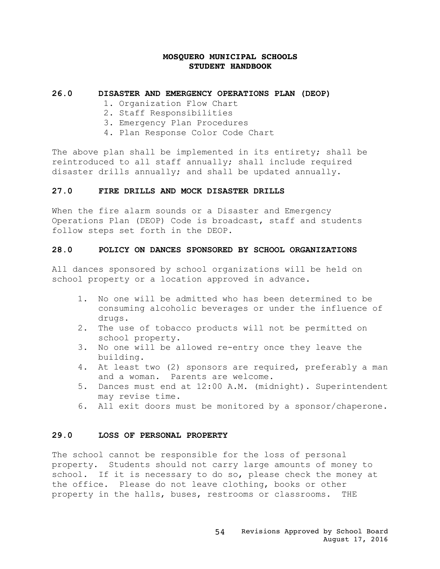#### **26.0 DISASTER AND EMERGENCY OPERATIONS PLAN (DEOP)**

- 1. Organization Flow Chart
- 2. Staff Responsibilities
- 3. Emergency Plan Procedures
- 4. Plan Response Color Code Chart

The above plan shall be implemented in its entirety; shall be reintroduced to all staff annually; shall include required disaster drills annually; and shall be updated annually.

#### **27.0 FIRE DRILLS AND MOCK DISASTER DRILLS**

When the fire alarm sounds or a Disaster and Emergency Operations Plan (DEOP) Code is broadcast, staff and students follow steps set forth in the DEOP.

#### **28.0 POLICY ON DANCES SPONSORED BY SCHOOL ORGANIZATIONS**

All dances sponsored by school organizations will be held on school property or a location approved in advance.

- 1. No one will be admitted who has been determined to be consuming alcoholic beverages or under the influence of drugs.
- 2. The use of tobacco products will not be permitted on school property.
- 3. No one will be allowed re-entry once they leave the building.
- 4. At least two (2) sponsors are required, preferably a man and a woman. Parents are welcome.
- 5. Dances must end at 12:00 A.M. (midnight). Superintendent may revise time.
- 6. All exit doors must be monitored by a sponsor/chaperone.

### **29.0 LOSS OF PERSONAL PROPERTY**

The school cannot be responsible for the loss of personal property. Students should not carry large amounts of money to school. If it is necessary to do so, please check the money at the office. Please do not leave clothing, books or other property in the halls, buses, restrooms or classrooms. THE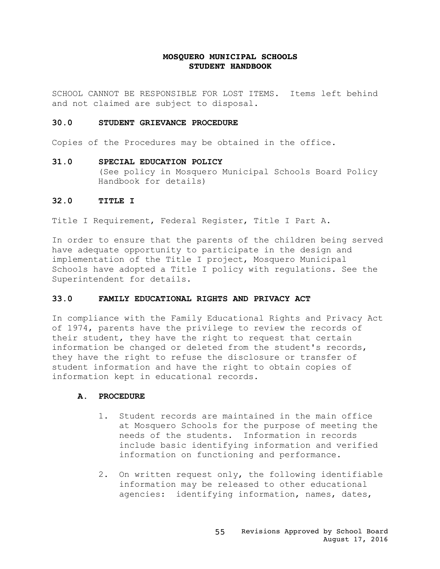SCHOOL CANNOT BE RESPONSIBLE FOR LOST ITEMS. Items left behind and not claimed are subject to disposal.

#### **30.0 STUDENT GRIEVANCE PROCEDURE**

Copies of the Procedures may be obtained in the office.

# **31.0 SPECIAL EDUCATION POLICY**

(See policy in Mosquero Municipal Schools Board Policy Handbook for details)

### **32.0 TITLE I**

Title I Requirement, Federal Register, Title I Part A.

In order to ensure that the parents of the children being served have adequate opportunity to participate in the design and implementation of the Title I project, Mosquero Municipal Schools have adopted a Title I policy with regulations. See the Superintendent for details.

#### **33.0 FAMILY EDUCATIONAL RIGHTS AND PRIVACY ACT**

In compliance with the Family Educational Rights and Privacy Act of 1974, parents have the privilege to review the records of their student, they have the right to request that certain information be changed or deleted from the student's records, they have the right to refuse the disclosure or transfer of student information and have the right to obtain copies of information kept in educational records.

#### **A. PROCEDURE**

- 1. Student records are maintained in the main office at Mosquero Schools for the purpose of meeting the needs of the students. Information in records include basic identifying information and verified information on functioning and performance.
- 2. On written request only, the following identifiable information may be released to other educational agencies: identifying information, names, dates,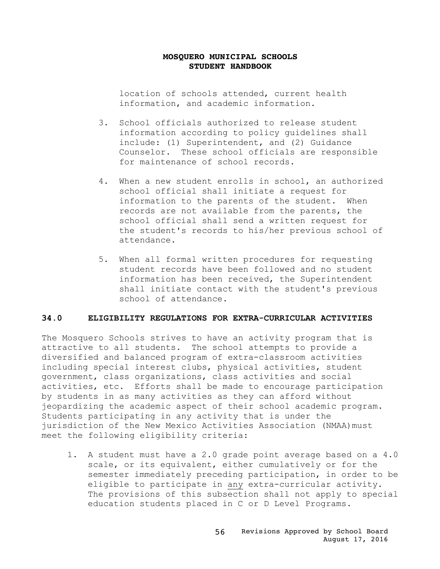location of schools attended, current health information, and academic information.

- 3. School officials authorized to release student information according to policy guidelines shall include: (1) Superintendent, and (2) Guidance Counselor. These school officials are responsible for maintenance of school records.
- 4. When a new student enrolls in school, an authorized school official shall initiate a request for information to the parents of the student. When records are not available from the parents, the school official shall send a written request for the student's records to his/her previous school of attendance.
- 5. When all formal written procedures for requesting student records have been followed and no student information has been received, the Superintendent shall initiate contact with the student's previous school of attendance.

# **34.0 ELIGIBILITY REGULATIONS FOR EXTRA-CURRICULAR ACTIVITIES**

The Mosquero Schools strives to have an activity program that is attractive to all students. The school attempts to provide a diversified and balanced program of extra-classroom activities including special interest clubs, physical activities, student government, class organizations, class activities and social activities, etc. Efforts shall be made to encourage participation by students in as many activities as they can afford without jeopardizing the academic aspect of their school academic program. Students participating in any activity that is under the jurisdiction of the New Mexico Activities Association (NMAA)must meet the following eligibility criteria:

1. A student must have a 2.0 grade point average based on a 4.0 scale, or its equivalent, either cumulatively or for the semester immediately preceding participation, in order to be eligible to participate in any extra-curricular activity. The provisions of this subsection shall not apply to special education students placed in C or D Level Programs.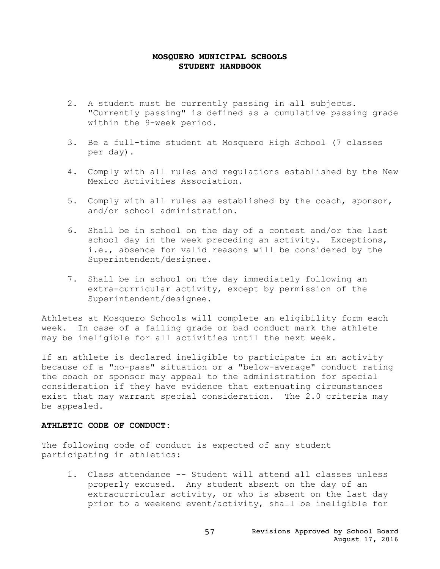- 2. A student must be currently passing in all subjects. "Currently passing" is defined as a cumulative passing grade within the 9-week period.
- 3. Be a full-time student at Mosquero High School (7 classes per day).
- 4. Comply with all rules and regulations established by the New Mexico Activities Association.
- 5. Comply with all rules as established by the coach, sponsor, and/or school administration.
- 6. Shall be in school on the day of a contest and/or the last school day in the week preceding an activity. Exceptions, i.e., absence for valid reasons will be considered by the Superintendent/designee.
- 7. Shall be in school on the day immediately following an extra-curricular activity, except by permission of the Superintendent/designee.

Athletes at Mosquero Schools will complete an eligibility form each week. In case of a failing grade or bad conduct mark the athlete may be ineligible for all activities until the next week.

If an athlete is declared ineligible to participate in an activity because of a "no-pass" situation or a "below-average" conduct rating the coach or sponsor may appeal to the administration for special consideration if they have evidence that extenuating circumstances exist that may warrant special consideration. The 2.0 criteria may be appealed.

#### **ATHLETIC CODE OF CONDUCT:**

The following code of conduct is expected of any student participating in athletics:

1. Class attendance -- Student will attend all classes unless properly excused. Any student absent on the day of an extracurricular activity, or who is absent on the last day prior to a weekend event/activity, shall be ineligible for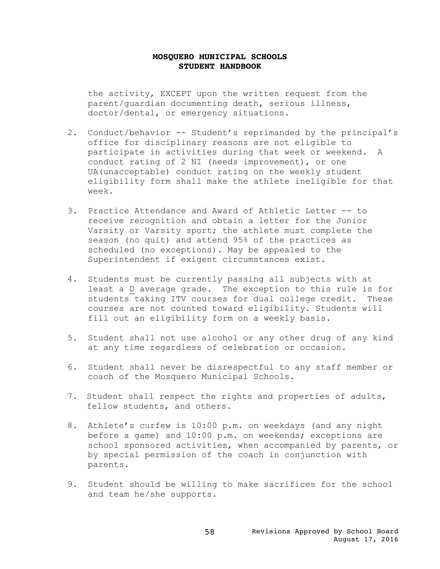the activity, EXCEPT upon the written request from the parent/guardian documenting death, serious illness, doctor/dental, or emergency situations.

- 2. Conduct/behavior -- Student's reprimanded by the principal's office for disciplinary reasons are not eligible to participate in activities during that week or weekend. A conduct rating of 2 NI (needs improvement), or one UA(unacceptable) conduct rating on the weekly student eligibility form shall make the athlete ineligible for that week.
- 3. Practice Attendance and Award of Athletic Letter -- to receive recognition and obtain a letter for the Junior Varsity or Varsity sport; the athlete must complete the season (no quit) and attend 95% of the practices as scheduled (no exceptions). May be appealed to the Superintendent if exigent circumstances exist.
- 4. Students must be currently passing all subjects with at least a D average grade. The exception to this rule is for students taking ITV courses for dual college credit. These courses are not counted toward eligibility. Students will fill out an eligibility form on a weekly basis.
- 5. Student shall not use alcohol or any other drug of any kind at any time regardless of celebration or occasion.
- 6. Student shall never be disrespectful to any staff member or coach of the Mosquero Municipal Schools.
- 7. Student shall respect the rights and properties of adults, fellow students, and others.
- 8. Athlete's curfew is 10:00 p.m. on weekdays (and any night before a game) and 10:00 p.m. on weekends; exceptions are school sponsored activities, when accompanied by parents, or by special permission of the coach in conjunction with parents.
- 9. Student should be willing to make sacrifices for the school and team he/she supports.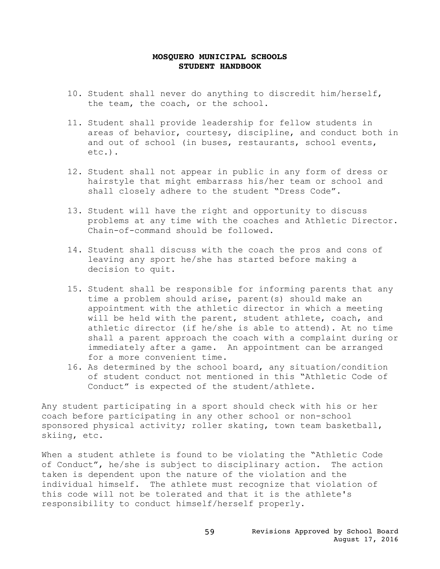- 10. Student shall never do anything to discredit him/herself, the team, the coach, or the school.
- 11. Student shall provide leadership for fellow students in areas of behavior, courtesy, discipline, and conduct both in and out of school (in buses, restaurants, school events, etc.).
- 12. Student shall not appear in public in any form of dress or hairstyle that might embarrass his/her team or school and shall closely adhere to the student "Dress Code".
- 13. Student will have the right and opportunity to discuss problems at any time with the coaches and Athletic Director. Chain-of-command should be followed.
- 14. Student shall discuss with the coach the pros and cons of leaving any sport he/she has started before making a decision to quit.
- 15. Student shall be responsible for informing parents that any time a problem should arise, parent(s) should make an appointment with the athletic director in which a meeting will be held with the parent, student athlete, coach, and athletic director (if he/she is able to attend). At no time shall a parent approach the coach with a complaint during or immediately after a game. An appointment can be arranged for a more convenient time.
- 16. As determined by the school board, any situation/condition of student conduct not mentioned in this "Athletic Code of Conduct" is expected of the student/athlete.

Any student participating in a sport should check with his or her coach before participating in any other school or non-school sponsored physical activity; roller skating, town team basketball, skiing, etc.

When a student athlete is found to be violating the "Athletic Code of Conduct", he/she is subject to disciplinary action. The action taken is dependent upon the nature of the violation and the individual himself. The athlete must recognize that violation of this code will not be tolerated and that it is the athlete's responsibility to conduct himself/herself properly.